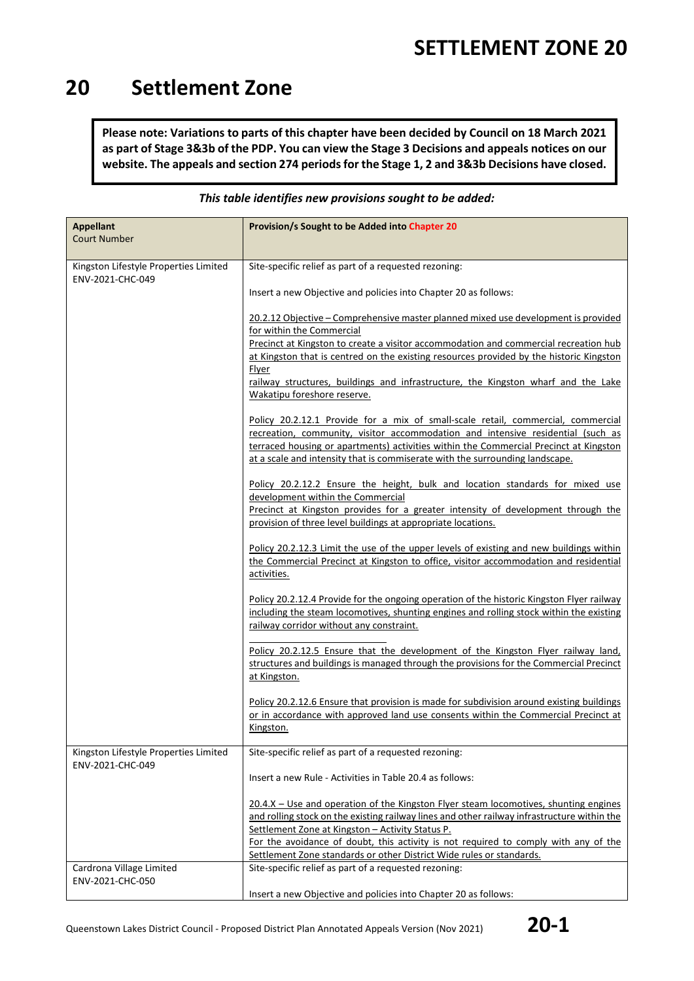### **20 Settlement Zone**

**Please note: Variations to parts of this chapter have been decided by Council on 18 March 2021 as part of Stage 3&3b of the PDP. You can view the Stage 3 Decisions and appeals notices on our website. The appeals and section 274 periods for the Stage 1, 2 and 3&3b Decisions have closed.**

| <b>Appellant</b><br><b>Court Number</b>                   | Provision/s Sought to be Added into Chapter 20                                                                                                                                                                                                                                                                                               |  |  |
|-----------------------------------------------------------|----------------------------------------------------------------------------------------------------------------------------------------------------------------------------------------------------------------------------------------------------------------------------------------------------------------------------------------------|--|--|
| Kingston Lifestyle Properties Limited<br>ENV-2021-CHC-049 | Site-specific relief as part of a requested rezoning:                                                                                                                                                                                                                                                                                        |  |  |
|                                                           | Insert a new Objective and policies into Chapter 20 as follows:                                                                                                                                                                                                                                                                              |  |  |
|                                                           | 20.2.12 Objective – Comprehensive master planned mixed use development is provided<br>for within the Commercial                                                                                                                                                                                                                              |  |  |
|                                                           | Precinct at Kingston to create a visitor accommodation and commercial recreation hub<br>at Kingston that is centred on the existing resources provided by the historic Kingston<br><b>Flyer</b>                                                                                                                                              |  |  |
|                                                           | railway structures, buildings and infrastructure, the Kingston wharf and the Lake<br>Wakatipu foreshore reserve.                                                                                                                                                                                                                             |  |  |
|                                                           | Policy 20.2.12.1 Provide for a mix of small-scale retail, commercial, commercial<br>recreation, community, visitor accommodation and intensive residential (such as<br>terraced housing or apartments) activities within the Commercial Precinct at Kingston<br>at a scale and intensity that is commiserate with the surrounding landscape. |  |  |
|                                                           | Policy 20.2.12.2 Ensure the height, bulk and location standards for mixed use<br>development within the Commercial                                                                                                                                                                                                                           |  |  |
|                                                           | Precinct at Kingston provides for a greater intensity of development through the<br>provision of three level buildings at appropriate locations.                                                                                                                                                                                             |  |  |
|                                                           | Policy 20.2.12.3 Limit the use of the upper levels of existing and new buildings within<br>the Commercial Precinct at Kingston to office, visitor accommodation and residential<br>activities.                                                                                                                                               |  |  |
|                                                           | Policy 20.2.12.4 Provide for the ongoing operation of the historic Kingston Flyer railway<br>including the steam locomotives, shunting engines and rolling stock within the existing<br>railway corridor without any constraint.                                                                                                             |  |  |
|                                                           | Policy 20.2.12.5 Ensure that the development of the Kingston Flyer railway land,<br>structures and buildings is managed through the provisions for the Commercial Precinct<br>at Kingston.                                                                                                                                                   |  |  |
|                                                           | Policy 20.2.12.6 Ensure that provision is made for subdivision around existing buildings<br>or in accordance with approved land use consents within the Commercial Precinct at<br>Kingston.                                                                                                                                                  |  |  |
| Kingston Lifestyle Properties Limited<br>ENV-2021-CHC-049 | Site-specific relief as part of a requested rezoning:                                                                                                                                                                                                                                                                                        |  |  |
|                                                           | Insert a new Rule - Activities in Table 20.4 as follows:                                                                                                                                                                                                                                                                                     |  |  |
|                                                           | $20.4.X - Use$ and operation of the Kingston Flyer steam locomotives, shunting engines<br>and rolling stock on the existing railway lines and other railway infrastructure within the                                                                                                                                                        |  |  |
|                                                           | Settlement Zone at Kingston - Activity Status P.<br>For the avoidance of doubt, this activity is not required to comply with any of the<br>Settlement Zone standards or other District Wide rules or standards.                                                                                                                              |  |  |
| Cardrona Village Limited<br>ENV-2021-CHC-050              | Site-specific relief as part of a requested rezoning:                                                                                                                                                                                                                                                                                        |  |  |
|                                                           | Insert a new Objective and policies into Chapter 20 as follows:                                                                                                                                                                                                                                                                              |  |  |

#### *This table identifies new provisions sought to be added:*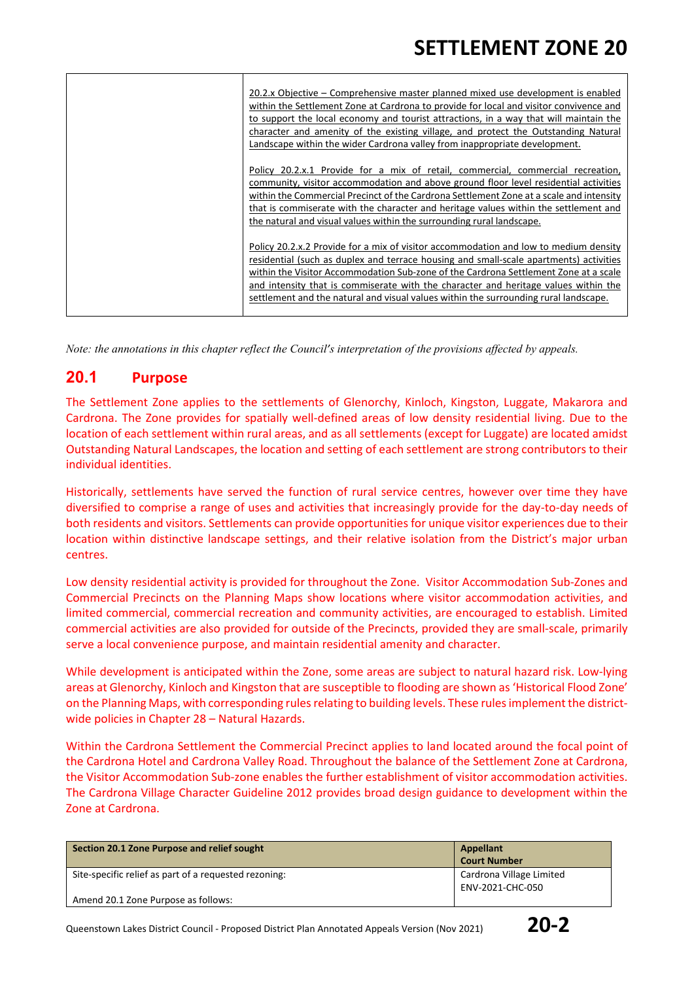| 20.2.x Objective – Comprehensive master planned mixed use development is enabled        |
|-----------------------------------------------------------------------------------------|
| within the Settlement Zone at Cardrona to provide for local and visitor convivence and  |
| to support the local economy and tourist attractions, in a way that will maintain the   |
| character and amenity of the existing village, and protect the Outstanding Natural      |
| Landscape within the wider Cardrona valley from inappropriate development.              |
|                                                                                         |
| Policy 20.2.x.1 Provide for a mix of retail, commercial, commercial recreation,         |
| community, visitor accommodation and above ground floor level residential activities    |
| within the Commercial Precinct of the Cardrona Settlement Zone at a scale and intensity |
| that is commiserate with the character and heritage values within the settlement and    |
| the natural and visual values within the surrounding rural landscape.                   |
|                                                                                         |
| Policy 20.2.x.2 Provide for a mix of visitor accommodation and low to medium density    |
| residential (such as duplex and terrace housing and small-scale apartments) activities  |
| within the Visitor Accommodation Sub-zone of the Cardrona Settlement Zone at a scale    |
| and intensity that is commiserate with the character and heritage values within the     |
| settlement and the natural and visual values within the surrounding rural landscape.    |
|                                                                                         |

*Note: the annotations in this chapter reflect the Council's interpretation of the provisions affected by appeals.*

#### **20.1 Purpose**

The Settlement Zone applies to the settlements of Glenorchy, Kinloch, Kingston, Luggate, Makarora and Cardrona. The Zone provides for spatially well-defined areas of low density residential living. Due to the location of each settlement within rural areas, and as all settlements (except for Luggate) are located amidst Outstanding Natural Landscapes, the location and setting of each settlement are strong contributors to their individual identities.

Historically, settlements have served the function of rural service centres, however over time they have diversified to comprise a range of uses and activities that increasingly provide for the day-to-day needs of both residents and visitors. Settlements can provide opportunities for unique visitor experiences due to their location within distinctive landscape settings, and their relative isolation from the District's major urban centres.

Low density residential activity is provided for throughout the Zone. Visitor Accommodation Sub-Zones and Commercial Precincts on the Planning Maps show locations where visitor accommodation activities, and limited commercial, commercial recreation and community activities, are encouraged to establish. Limited commercial activities are also provided for outside of the Precincts, provided they are small-scale, primarily serve a local convenience purpose, and maintain residential amenity and character.

While development is anticipated within the Zone, some areas are subject to natural hazard risk. Low-lying areas at Glenorchy, Kinloch and Kingston that are susceptible to flooding are shown as 'Historical Flood Zone' on the Planning Maps, with corresponding rules relating to building levels. These rules implement the districtwide policies in Chapter 28 – Natural Hazards.

Within the Cardrona Settlement the Commercial Precinct applies to land located around the focal point of the Cardrona Hotel and Cardrona Valley Road. Throughout the balance of the Settlement Zone at Cardrona, the Visitor Accommodation Sub-zone enables the further establishment of visitor accommodation activities. The Cardrona Village Character Guideline 2012 provides broad design guidance to development within the Zone at Cardrona.

| Section 20.1 Zone Purpose and relief sought           | Appellant<br><b>Court Number</b> |
|-------------------------------------------------------|----------------------------------|
| Site-specific relief as part of a requested rezoning: | Cardrona Village Limited         |
|                                                       | ENV-2021-CHC-050                 |
| Amend 20.1 Zone Purpose as follows:                   |                                  |

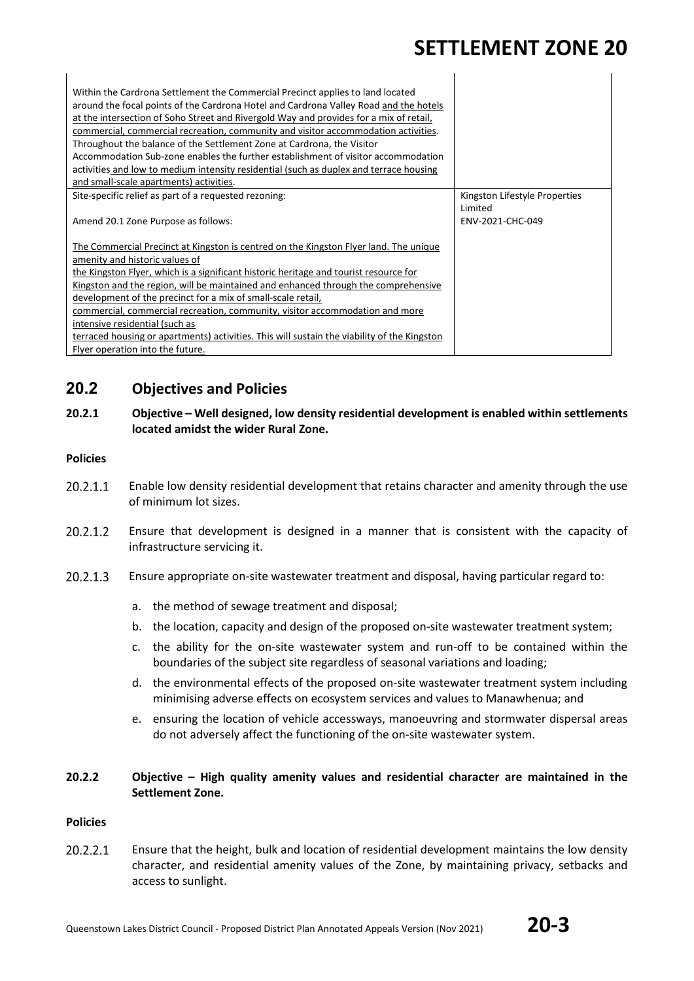$\mathbf{I}$ 

| Within the Cardrona Settlement the Commercial Precinct applies to land located<br>around the focal points of the Cardrona Hotel and Cardrona Valley Road and the hotels<br>at the intersection of Soho Street and Rivergold Way and provides for a mix of retail,<br>commercial, commercial recreation, community and visitor accommodation activities. |                               |
|---------------------------------------------------------------------------------------------------------------------------------------------------------------------------------------------------------------------------------------------------------------------------------------------------------------------------------------------------------|-------------------------------|
| Throughout the balance of the Settlement Zone at Cardrona, the Visitor                                                                                                                                                                                                                                                                                  |                               |
| Accommodation Sub-zone enables the further establishment of visitor accommodation                                                                                                                                                                                                                                                                       |                               |
| activities and low to medium intensity residential (such as duplex and terrace housing                                                                                                                                                                                                                                                                  |                               |
| and small-scale apartments) activities.                                                                                                                                                                                                                                                                                                                 |                               |
| Site-specific relief as part of a requested rezoning:                                                                                                                                                                                                                                                                                                   | Kingston Lifestyle Properties |
| Amend 20.1 Zone Purpose as follows:                                                                                                                                                                                                                                                                                                                     | Limited<br>FNV-2021-CHC-049   |
| The Commercial Precinct at Kingston is centred on the Kingston Flyer land. The unique                                                                                                                                                                                                                                                                   |                               |
| amenity and historic values of                                                                                                                                                                                                                                                                                                                          |                               |
| the Kingston Flyer, which is a significant historic heritage and tourist resource for                                                                                                                                                                                                                                                                   |                               |
| Kingston and the region, will be maintained and enhanced through the comprehensive                                                                                                                                                                                                                                                                      |                               |
| development of the precinct for a mix of small-scale retail,                                                                                                                                                                                                                                                                                            |                               |
| commercial, commercial recreation, community, visitor accommodation and more                                                                                                                                                                                                                                                                            |                               |
| intensive residential (such as                                                                                                                                                                                                                                                                                                                          |                               |
| terraced housing or apartments) activities. This will sustain the viability of the Kingston                                                                                                                                                                                                                                                             |                               |
| Flyer operation into the future.                                                                                                                                                                                                                                                                                                                        |                               |

### **20.2 Objectives and Policies**

#### **20.2.1 Objective – Well designed, low density residential development is enabled within settlements located amidst the wider Rural Zone.**

#### **Policies**

- 20.2.1.1 Enable low density residential development that retains character and amenity through the use of minimum lot sizes.
- $20.2.1.2$ Ensure that development is designed in a manner that is consistent with the capacity of infrastructure servicing it.
- 20.2.1.3 Ensure appropriate on-site wastewater treatment and disposal, having particular regard to:
	- a. the method of sewage treatment and disposal;
	- b. the location, capacity and design of the proposed on-site wastewater treatment system;
	- c. the ability for the on-site wastewater system and run-off to be contained within the boundaries of the subject site regardless of seasonal variations and loading;
	- d. the environmental effects of the proposed on-site wastewater treatment system including minimising adverse effects on ecosystem services and values to Manawhenua; and
	- e. ensuring the location of vehicle accessways, manoeuvring and stormwater dispersal areas do not adversely affect the functioning of the on-site wastewater system.

#### **20.2.2 Objective – High quality amenity values and residential character are maintained in the Settlement Zone.**

#### **Policies**

20.2.2.1 Ensure that the height, bulk and location of residential development maintains the low density character, and residential amenity values of the Zone, by maintaining privacy, setbacks and access to sunlight.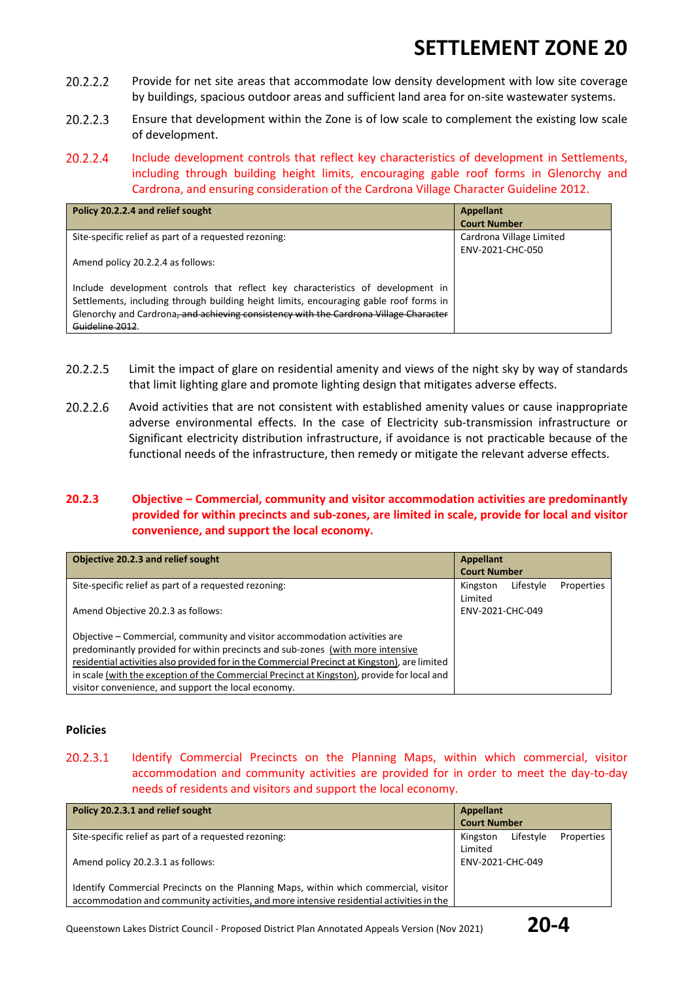- 20.2.2.2 Provide for net site areas that accommodate low density development with low site coverage by buildings, spacious outdoor areas and sufficient land area for on-site wastewater systems.
- 20.2.2.3 Ensure that development within the Zone is of low scale to complement the existing low scale of development.
- 20.2.2.4 Include development controls that reflect key characteristics of development in Settlements, including through building height limits, encouraging gable roof forms in Glenorchy and Cardrona, and ensuring consideration of the Cardrona Village Character Guideline 2012.

| Policy 20.2.2.4 and relief sought                                                      | Appellant                |
|----------------------------------------------------------------------------------------|--------------------------|
|                                                                                        | <b>Court Number</b>      |
| Site-specific relief as part of a requested rezoning:                                  | Cardrona Village Limited |
|                                                                                        | ENV-2021-CHC-050         |
| Amend policy 20.2.2.4 as follows:                                                      |                          |
|                                                                                        |                          |
| Include development controls that reflect key characteristics of development in        |                          |
| Settlements, including through building height limits, encouraging gable roof forms in |                          |
| Glenorchy and Cardrona, and achieving consistency with the Cardrona Village Character  |                          |
| Guideline 2012                                                                         |                          |

- 20.2.2.5 Limit the impact of glare on residential amenity and views of the night sky by way of standards that limit lighting glare and promote lighting design that mitigates adverse effects.
- 20.2.2.6 Avoid activities that are not consistent with established amenity values or cause inappropriate adverse environmental effects. In the case of Electricity sub-transmission infrastructure or Significant electricity distribution infrastructure, if avoidance is not practicable because of the functional needs of the infrastructure, then remedy or mitigate the relevant adverse effects.

#### **20.2.3 Objective – Commercial, community and visitor accommodation activities are predominantly provided for within precincts and sub-zones, are limited in scale, provide for local and visitor convenience, and support the local economy.**

| Objective 20.2.3 and relief sought                                                            | <b>Appellant</b>    |           |            |
|-----------------------------------------------------------------------------------------------|---------------------|-----------|------------|
|                                                                                               | <b>Court Number</b> |           |            |
| Site-specific relief as part of a requested rezoning:                                         | Kingston            | Lifestyle | Properties |
|                                                                                               | Limited             |           |            |
| Amend Objective 20.2.3 as follows:                                                            | ENV-2021-CHC-049    |           |            |
|                                                                                               |                     |           |            |
| Objective – Commercial, community and visitor accommodation activities are                    |                     |           |            |
| predominantly provided for within precincts and sub-zones (with more intensive                |                     |           |            |
| residential activities also provided for in the Commercial Precinct at Kingston), are limited |                     |           |            |
| in scale (with the exception of the Commercial Precinct at Kingston), provide for local and   |                     |           |            |
| visitor convenience, and support the local economy.                                           |                     |           |            |

#### **Policies**

20.2.3.1 Identify Commercial Precincts on the Planning Maps, within which commercial, visitor accommodation and community activities are provided for in order to meet the day-to-day needs of residents and visitors and support the local economy.

| Policy 20.2.3.1 and relief sought                                                        |                     | Appellant |            |
|------------------------------------------------------------------------------------------|---------------------|-----------|------------|
|                                                                                          | <b>Court Number</b> |           |            |
| Site-specific relief as part of a requested rezoning:                                    | Kingston            | Lifestyle | Properties |
|                                                                                          | Limited             |           |            |
| Amend policy 20.2.3.1 as follows:                                                        | ENV-2021-CHC-049    |           |            |
|                                                                                          |                     |           |            |
| Identify Commercial Precincts on the Planning Maps, within which commercial, visitor     |                     |           |            |
| accommodation and community activities, and more intensive residential activities in the |                     |           |            |

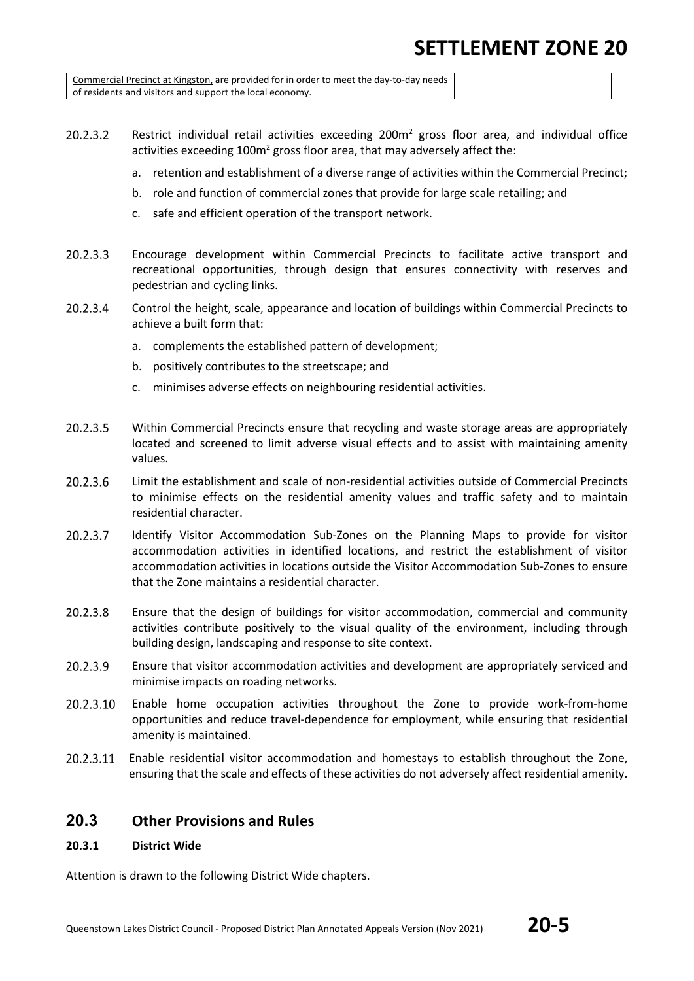Commercial Precinct at Kingston, are provided for in order to meet the day-to-day needs of residents and visitors and support the local economy.

- 20.2.3.2 Restrict individual retail activities exceeding  $200m^2$  gross floor area, and individual office activities exceeding  $100m^2$  gross floor area, that may adversely affect the:
	- a. retention and establishment of a diverse range of activities within the Commercial Precinct;
	- b. role and function of commercial zones that provide for large scale retailing; and
	- c. safe and efficient operation of the transport network.
- 20.2.3.3 Encourage development within Commercial Precincts to facilitate active transport and recreational opportunities, through design that ensures connectivity with reserves and pedestrian and cycling links.
- 20.2.3.4 Control the height, scale, appearance and location of buildings within Commercial Precincts to achieve a built form that:
	- a. complements the established pattern of development;
	- b. positively contributes to the streetscape; and
	- c. minimises adverse effects on neighbouring residential activities.
- 20.2.3.5 Within Commercial Precincts ensure that recycling and waste storage areas are appropriately located and screened to limit adverse visual effects and to assist with maintaining amenity values.
- Limit the establishment and scale of non-residential activities outside of Commercial Precincts 20.2.3.6 to minimise effects on the residential amenity values and traffic safety and to maintain residential character.
- 20.2.3.7 Identify Visitor Accommodation Sub-Zones on the Planning Maps to provide for visitor accommodation activities in identified locations, and restrict the establishment of visitor accommodation activities in locations outside the Visitor Accommodation Sub-Zones to ensure that the Zone maintains a residential character.
- 20.2.3.8 Ensure that the design of buildings for visitor accommodation, commercial and community activities contribute positively to the visual quality of the environment, including through building design, landscaping and response to site context.
- 20.2.3.9 Ensure that visitor accommodation activities and development are appropriately serviced and minimise impacts on roading networks.
- 20.2.3.10 Enable home occupation activities throughout the Zone to provide work-from-home opportunities and reduce travel-dependence for employment, while ensuring that residential amenity is maintained.
- 20.2.3.11 Enable residential visitor accommodation and homestays to establish throughout the Zone, ensuring that the scale and effects of these activities do not adversely affect residential amenity.

#### **20.3 Other Provisions and Rules**

#### **20.3.1 District Wide**

Attention is drawn to the following District Wide chapters.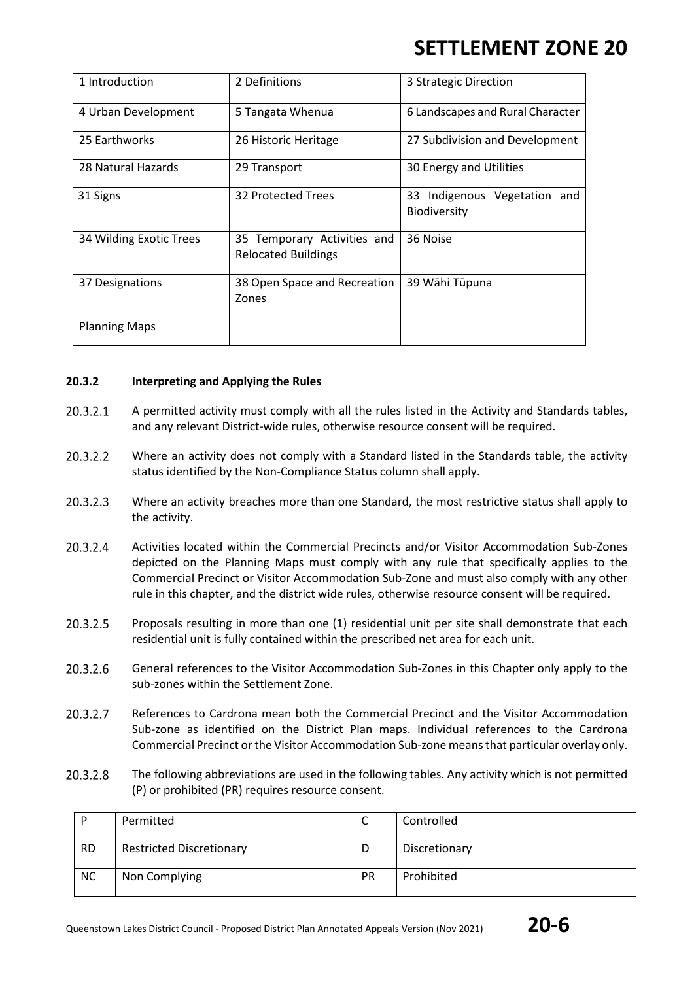| 1 Introduction          | 2 Definitions                                             | 3 Strategic Direction                               |
|-------------------------|-----------------------------------------------------------|-----------------------------------------------------|
| 4 Urban Development     | 5 Tangata Whenua                                          | 6 Landscapes and Rural Character                    |
| 25 Earthworks           | 26 Historic Heritage                                      | 27 Subdivision and Development                      |
| 28 Natural Hazards      | 29 Transport                                              | 30 Energy and Utilities                             |
| 31 Signs                | 32 Protected Trees                                        | 33 Indigenous Vegetation and<br><b>Biodiversity</b> |
| 34 Wilding Exotic Trees | 35 Temporary Activities and<br><b>Relocated Buildings</b> | 36 Noise                                            |
| 37 Designations         | 38 Open Space and Recreation<br>Zones                     | 39 Wāhi Tūpuna                                      |
| <b>Planning Maps</b>    |                                                           |                                                     |

#### **20.3.2 Interpreting and Applying the Rules**

- 20.3.2.1 A permitted activity must comply with all the rules listed in the Activity and Standards tables, and any relevant District-wide rules, otherwise resource consent will be required.
- 20.3.2.2 Where an activity does not comply with a Standard listed in the Standards table, the activity status identified by the Non-Compliance Status column shall apply.
- 20.3.2.3 Where an activity breaches more than one Standard, the most restrictive status shall apply to the activity.
- 20.3.2.4 Activities located within the Commercial Precincts and/or Visitor Accommodation Sub-Zones depicted on the Planning Maps must comply with any rule that specifically applies to the Commercial Precinct or Visitor Accommodation Sub-Zone and must also comply with any other rule in this chapter, and the district wide rules, otherwise resource consent will be required.
- 20.3.2.5 Proposals resulting in more than one (1) residential unit per site shall demonstrate that each residential unit is fully contained within the prescribed net area for each unit.
- 20.3.2.6 General references to the Visitor Accommodation Sub-Zones in this Chapter only apply to the sub-zones within the Settlement Zone.
- 20.3.2.7 References to Cardrona mean both the Commercial Precinct and the Visitor Accommodation Sub-zone as identified on the District Plan maps. Individual references to the Cardrona Commercial Precinct or the Visitor Accommodation Sub-zone means that particular overlay only.
- 20.3.2.8 The following abbreviations are used in the following tables. Any activity which is not permitted (P) or prohibited (PR) requires resource consent.

| D         | Permitted                       | ◡         | Controlled    |
|-----------|---------------------------------|-----------|---------------|
| <b>RD</b> | <b>Restricted Discretionary</b> | D         | Discretionary |
| <b>NC</b> | Non Complying                   | <b>PR</b> | Prohibited    |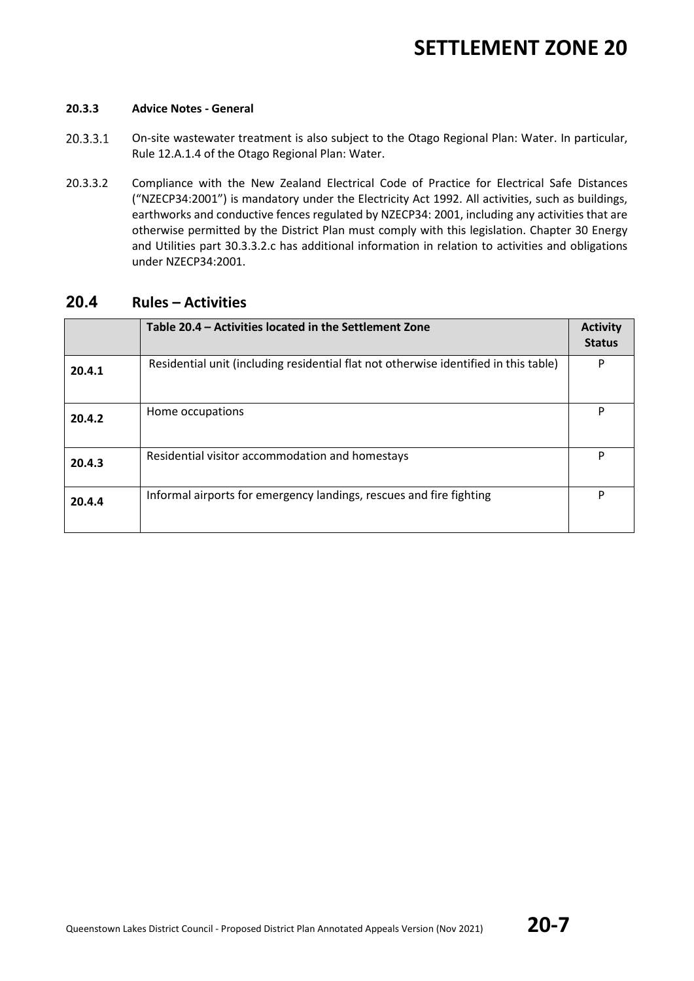#### **20.3.3 Advice Notes - General**

- 20.3.3.1 On-site wastewater treatment is also subject to the Otago Regional Plan: Water. In particular, Rule 12.A.1.4 of the Otago Regional Plan: Water.
- 20.3.3.2 Compliance with the New Zealand Electrical Code of Practice for Electrical Safe Distances ("NZECP34:2001") is mandatory under the Electricity Act 1992. All activities, such as buildings, earthworks and conductive fences regulated by NZECP34: 2001, including any activities that are otherwise permitted by the District Plan must comply with this legislation. Chapter 30 Energy and Utilities part 30.3.3.2.c has additional information in relation to activities and obligations under NZECP34:2001.

#### **20.4 Rules – Activities**

|        | Table 20.4 – Activities located in the Settlement Zone                               | <b>Activity</b><br><b>Status</b> |
|--------|--------------------------------------------------------------------------------------|----------------------------------|
| 20.4.1 | Residential unit (including residential flat not otherwise identified in this table) | P                                |
| 20.4.2 | Home occupations                                                                     | P                                |
| 20.4.3 | Residential visitor accommodation and homestays                                      | P                                |
| 20.4.4 | Informal airports for emergency landings, rescues and fire fighting                  | P                                |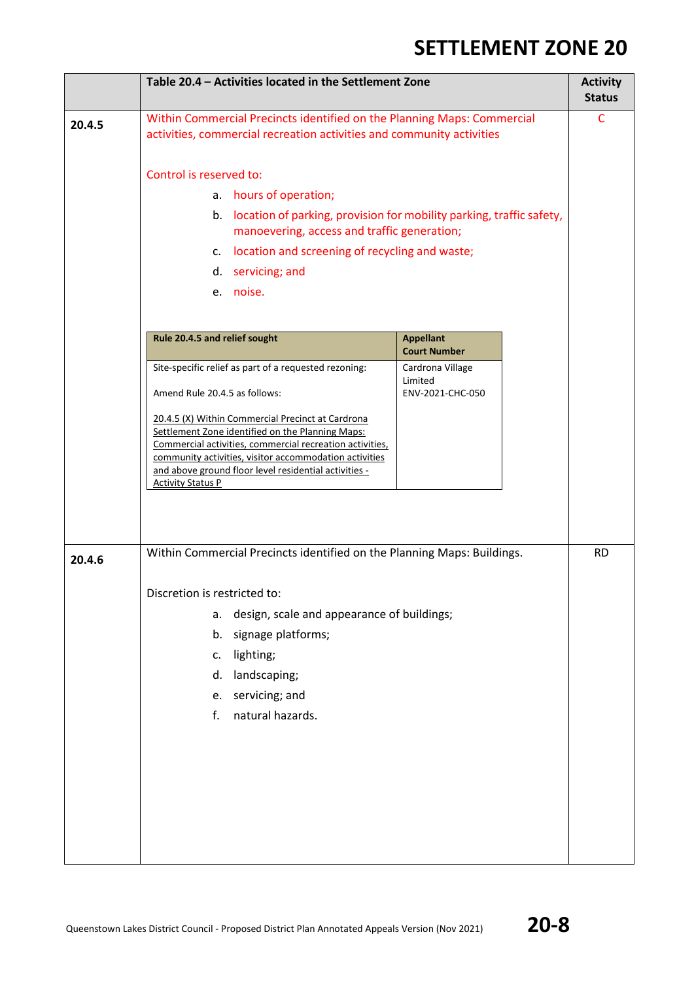|        | Table 20.4 - Activities located in the Settlement Zone                                                                                           |                                                                      | <b>Activity</b><br><b>Status</b> |
|--------|--------------------------------------------------------------------------------------------------------------------------------------------------|----------------------------------------------------------------------|----------------------------------|
| 20.4.5 | Within Commercial Precincts identified on the Planning Maps: Commercial<br>activities, commercial recreation activities and community activities |                                                                      | $\mathsf{C}$                     |
|        | Control is reserved to:                                                                                                                          |                                                                      |                                  |
|        | hours of operation;<br>a.                                                                                                                        |                                                                      |                                  |
|        | b.<br>manoevering, access and traffic generation;                                                                                                | location of parking, provision for mobility parking, traffic safety, |                                  |
|        | location and screening of recycling and waste;<br>c.                                                                                             |                                                                      |                                  |
|        | servicing; and<br>d.                                                                                                                             |                                                                      |                                  |
|        | e. noise.                                                                                                                                        |                                                                      |                                  |
|        | Rule 20.4.5 and relief sought                                                                                                                    | <b>Appellant</b>                                                     |                                  |
|        |                                                                                                                                                  | <b>Court Number</b>                                                  |                                  |
|        | Site-specific relief as part of a requested rezoning:                                                                                            | Cardrona Village<br>Limited                                          |                                  |
|        | Amend Rule 20.4.5 as follows:                                                                                                                    | ENV-2021-CHC-050                                                     |                                  |
|        | 20.4.5 (X) Within Commercial Precinct at Cardrona                                                                                                |                                                                      |                                  |
|        | Settlement Zone identified on the Planning Maps:<br>Commercial activities, commercial recreation activities,                                     |                                                                      |                                  |
|        | community activities, visitor accommodation activities                                                                                           |                                                                      |                                  |
|        | and above ground floor level residential activities -                                                                                            |                                                                      |                                  |
|        | <b>Activity Status P</b>                                                                                                                         |                                                                      |                                  |
|        |                                                                                                                                                  |                                                                      |                                  |
|        |                                                                                                                                                  |                                                                      |                                  |
| 20.4.6 | Within Commercial Precincts identified on the Planning Maps: Buildings.                                                                          |                                                                      | <b>RD</b>                        |
|        | Discretion is restricted to:                                                                                                                     |                                                                      |                                  |
|        | design, scale and appearance of buildings;<br>a.                                                                                                 |                                                                      |                                  |
|        | signage platforms;<br>b.                                                                                                                         |                                                                      |                                  |
|        | lighting;<br>c.                                                                                                                                  |                                                                      |                                  |
|        | landscaping;<br>d.                                                                                                                               |                                                                      |                                  |
|        | servicing; and<br>e.                                                                                                                             |                                                                      |                                  |
|        | natural hazards.<br>f.                                                                                                                           |                                                                      |                                  |
|        |                                                                                                                                                  |                                                                      |                                  |
|        |                                                                                                                                                  |                                                                      |                                  |
|        |                                                                                                                                                  |                                                                      |                                  |
|        |                                                                                                                                                  |                                                                      |                                  |
|        |                                                                                                                                                  |                                                                      |                                  |
|        |                                                                                                                                                  |                                                                      |                                  |
|        |                                                                                                                                                  |                                                                      |                                  |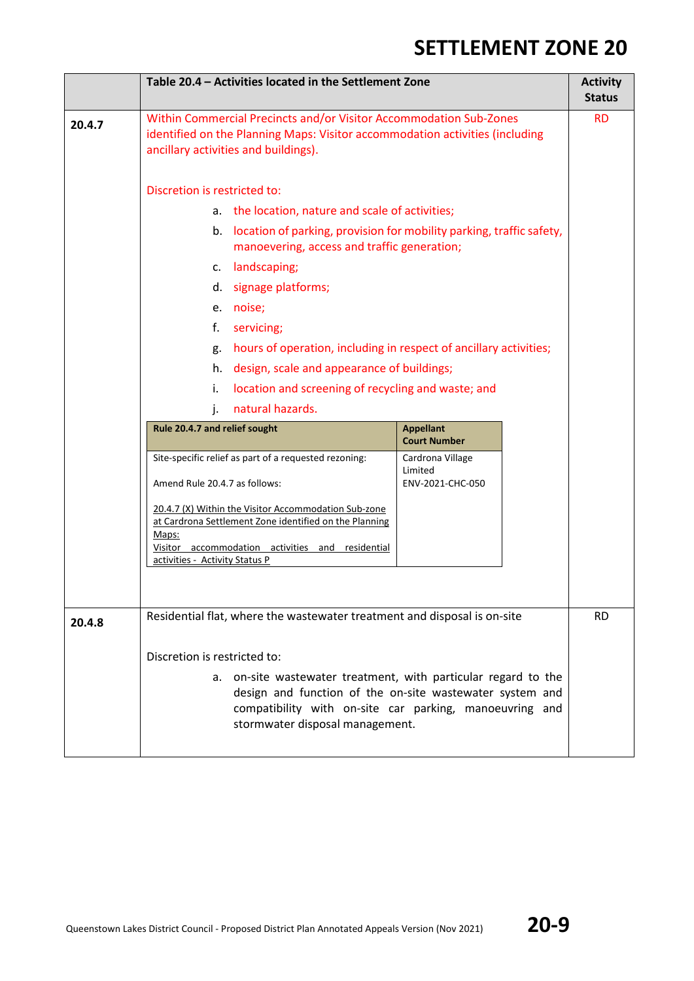|        | Table 20.4 - Activities located in the Settlement Zone                                                                                                                                                                   |                                                    | <b>Activity</b><br><b>Status</b> |
|--------|--------------------------------------------------------------------------------------------------------------------------------------------------------------------------------------------------------------------------|----------------------------------------------------|----------------------------------|
| 20.4.7 | Within Commercial Precincts and/or Visitor Accommodation Sub-Zones<br>identified on the Planning Maps: Visitor accommodation activities (including<br>ancillary activities and buildings).                               |                                                    |                                  |
|        | Discretion is restricted to:                                                                                                                                                                                             |                                                    |                                  |
|        | the location, nature and scale of activities;<br>а.                                                                                                                                                                      |                                                    |                                  |
|        | location of parking, provision for mobility parking, traffic safety,<br>b.<br>manoevering, access and traffic generation;                                                                                                |                                                    |                                  |
|        | landscaping;<br>c.                                                                                                                                                                                                       |                                                    |                                  |
|        | d.<br>signage platforms;                                                                                                                                                                                                 |                                                    |                                  |
|        | e. noise;                                                                                                                                                                                                                |                                                    |                                  |
|        | f.<br>servicing;                                                                                                                                                                                                         |                                                    |                                  |
|        | hours of operation, including in respect of ancillary activities;<br>g.                                                                                                                                                  |                                                    |                                  |
|        | design, scale and appearance of buildings;<br>h.                                                                                                                                                                         |                                                    |                                  |
|        | i.                                                                                                                                                                                                                       | location and screening of recycling and waste; and |                                  |
|        | natural hazards.<br>j.<br>Rule 20.4.7 and relief sought<br><b>Appellant</b><br><b>Court Number</b>                                                                                                                       |                                                    |                                  |
|        |                                                                                                                                                                                                                          |                                                    |                                  |
|        | Site-specific relief as part of a requested rezoning:<br>Cardrona Village<br>Limited<br>Amend Rule 20.4.7 as follows:<br>ENV-2021-CHC-050                                                                                |                                                    |                                  |
|        | 20.4.7 (X) Within the Visitor Accommodation Sub-zone                                                                                                                                                                     |                                                    |                                  |
|        | at Cardrona Settlement Zone identified on the Planning                                                                                                                                                                   |                                                    |                                  |
|        | Maps:<br>Visitor accommodation activities and residential<br>activities - Activity Status P                                                                                                                              |                                                    |                                  |
|        |                                                                                                                                                                                                                          |                                                    |                                  |
| 20.4.8 | Residential flat, where the wastewater treatment and disposal is on-site                                                                                                                                                 |                                                    | <b>RD</b>                        |
|        | Discretion is restricted to:                                                                                                                                                                                             |                                                    |                                  |
|        | a. on-site wastewater treatment, with particular regard to the<br>design and function of the on-site wastewater system and<br>compatibility with on-site car parking, manoeuvring and<br>stormwater disposal management. |                                                    |                                  |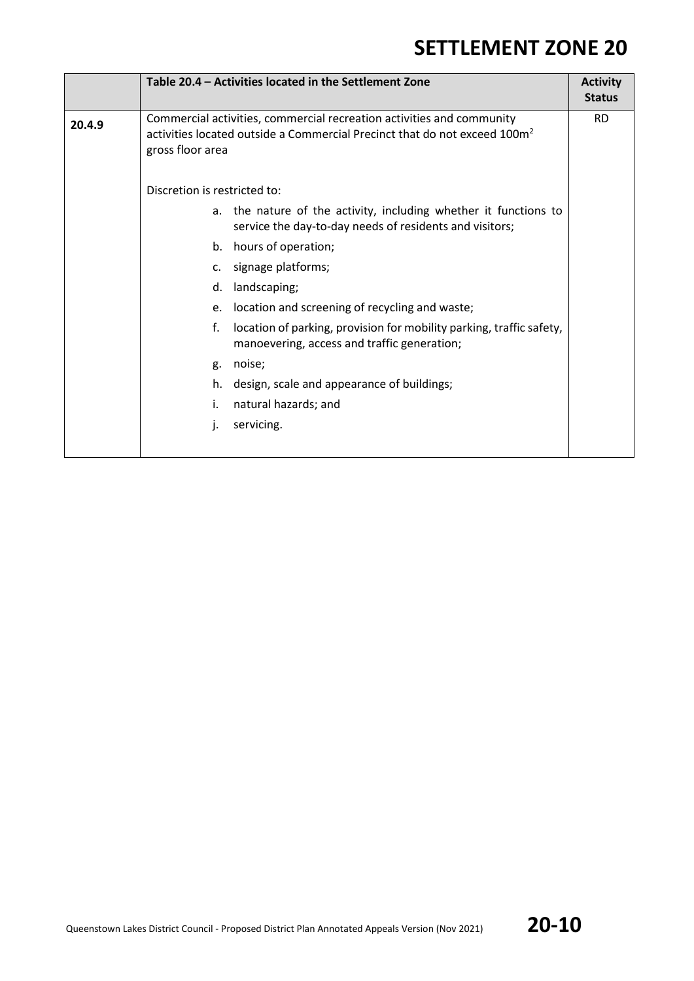|        | Table 20.4 - Activities located in the Settlement Zone                                                                                                                             | <b>Activity</b><br><b>Status</b> |  |  |  |
|--------|------------------------------------------------------------------------------------------------------------------------------------------------------------------------------------|----------------------------------|--|--|--|
| 20.4.9 | Commercial activities, commercial recreation activities and community<br>activities located outside a Commercial Precinct that do not exceed 100m <sup>2</sup><br>gross floor area |                                  |  |  |  |
|        | Discretion is restricted to:                                                                                                                                                       |                                  |  |  |  |
|        | a. the nature of the activity, including whether it functions to<br>service the day-to-day needs of residents and visitors;                                                        |                                  |  |  |  |
|        | hours of operation;<br>b.                                                                                                                                                          |                                  |  |  |  |
|        | signage platforms;<br>$\mathsf{c}$ .                                                                                                                                               |                                  |  |  |  |
|        | landscaping;<br>d.                                                                                                                                                                 |                                  |  |  |  |
|        | location and screening of recycling and waste;<br>e.                                                                                                                               |                                  |  |  |  |
|        | location of parking, provision for mobility parking, traffic safety,<br>f.<br>manoevering, access and traffic generation;                                                          |                                  |  |  |  |
|        | noise;<br>g.                                                                                                                                                                       |                                  |  |  |  |
|        | design, scale and appearance of buildings;<br>h.                                                                                                                                   |                                  |  |  |  |
|        | natural hazards; and<br>i.                                                                                                                                                         |                                  |  |  |  |
|        | servicing.<br>ı.                                                                                                                                                                   |                                  |  |  |  |
|        |                                                                                                                                                                                    |                                  |  |  |  |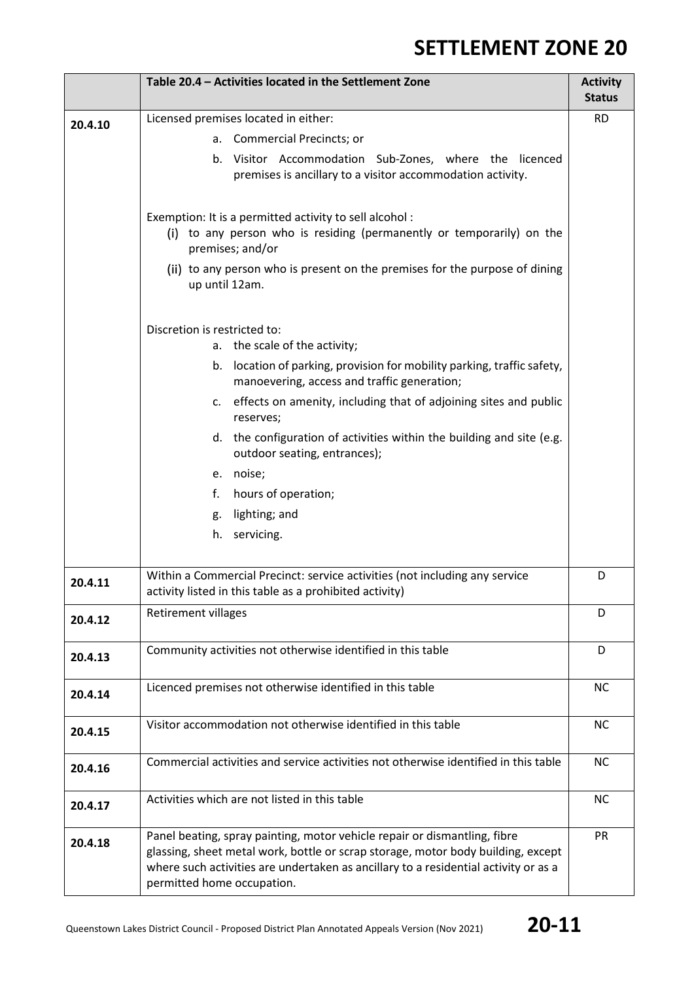|         | Table 20.4 - Activities located in the Settlement Zone                                                                                                                                                                                                                             | <b>Activity</b><br><b>Status</b> |  |  |  |
|---------|------------------------------------------------------------------------------------------------------------------------------------------------------------------------------------------------------------------------------------------------------------------------------------|----------------------------------|--|--|--|
| 20.4.10 | Licensed premises located in either:                                                                                                                                                                                                                                               | <b>RD</b>                        |  |  |  |
|         | <b>Commercial Precincts; or</b><br>а.                                                                                                                                                                                                                                              |                                  |  |  |  |
|         | Visitor Accommodation Sub-Zones, where the<br>licenced<br>b.<br>premises is ancillary to a visitor accommodation activity.                                                                                                                                                         |                                  |  |  |  |
|         | Exemption: It is a permitted activity to sell alcohol:<br>(i) to any person who is residing (permanently or temporarily) on the<br>premises; and/or                                                                                                                                |                                  |  |  |  |
|         | (ii) to any person who is present on the premises for the purpose of dining<br>up until 12am.                                                                                                                                                                                      |                                  |  |  |  |
|         | Discretion is restricted to:<br>the scale of the activity;<br>а.                                                                                                                                                                                                                   |                                  |  |  |  |
|         | location of parking, provision for mobility parking, traffic safety,<br>b.<br>manoevering, access and traffic generation;                                                                                                                                                          |                                  |  |  |  |
|         | c. effects on amenity, including that of adjoining sites and public<br>reserves;                                                                                                                                                                                                   |                                  |  |  |  |
|         | d. the configuration of activities within the building and site (e.g.<br>outdoor seating, entrances);                                                                                                                                                                              |                                  |  |  |  |
|         | e. noise;                                                                                                                                                                                                                                                                          |                                  |  |  |  |
|         | hours of operation;<br>f.                                                                                                                                                                                                                                                          |                                  |  |  |  |
|         | lighting; and<br>g.                                                                                                                                                                                                                                                                |                                  |  |  |  |
|         | servicing.<br>h.                                                                                                                                                                                                                                                                   |                                  |  |  |  |
| 20.4.11 | Within a Commercial Precinct: service activities (not including any service<br>activity listed in this table as a prohibited activity)                                                                                                                                             | D                                |  |  |  |
| 20.4.12 | <b>Retirement villages</b>                                                                                                                                                                                                                                                         | D                                |  |  |  |
| 20.4.13 | Community activities not otherwise identified in this table                                                                                                                                                                                                                        | D                                |  |  |  |
| 20.4.14 | Licenced premises not otherwise identified in this table                                                                                                                                                                                                                           | <b>NC</b>                        |  |  |  |
| 20.4.15 | Visitor accommodation not otherwise identified in this table                                                                                                                                                                                                                       | <b>NC</b>                        |  |  |  |
| 20.4.16 | Commercial activities and service activities not otherwise identified in this table                                                                                                                                                                                                | <b>NC</b>                        |  |  |  |
| 20.4.17 | Activities which are not listed in this table                                                                                                                                                                                                                                      | <b>NC</b>                        |  |  |  |
| 20.4.18 | Panel beating, spray painting, motor vehicle repair or dismantling, fibre<br>glassing, sheet metal work, bottle or scrap storage, motor body building, except<br>where such activities are undertaken as ancillary to a residential activity or as a<br>permitted home occupation. | <b>PR</b>                        |  |  |  |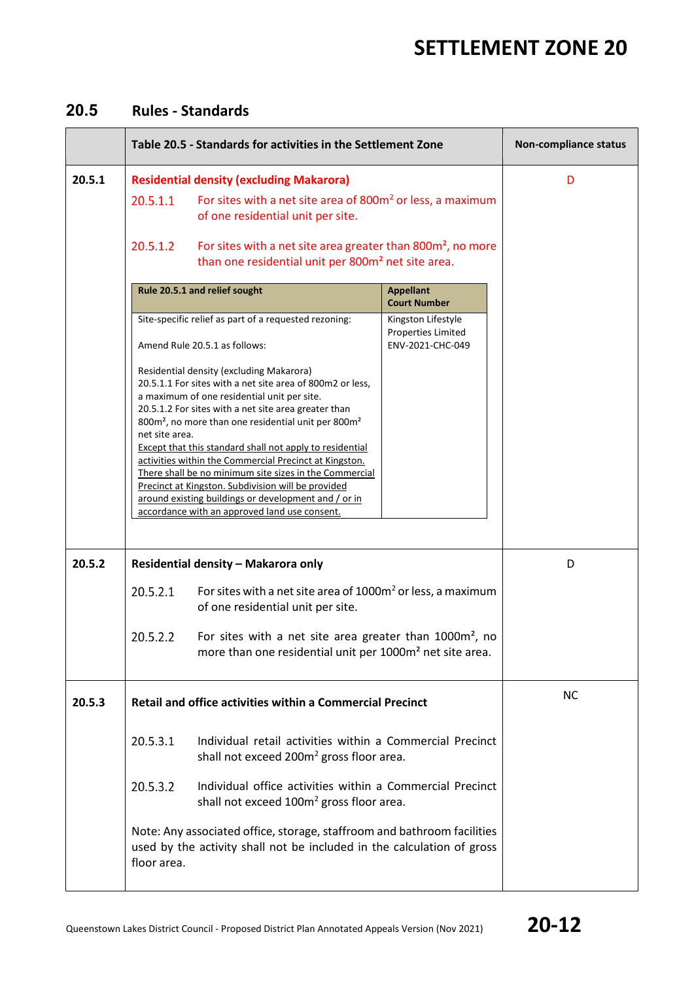### **20.5 Rules - Standards**

|        | Table 20.5 - Standards for activities in the Settlement Zone                                                                                                                                                                                                                                                                                                                                                                                                                                                                                                                                                                                                                                                                                                                        |                                                                                                                                                                                                                                                                                                             |                                         | Non-compliance status |  |  |
|--------|-------------------------------------------------------------------------------------------------------------------------------------------------------------------------------------------------------------------------------------------------------------------------------------------------------------------------------------------------------------------------------------------------------------------------------------------------------------------------------------------------------------------------------------------------------------------------------------------------------------------------------------------------------------------------------------------------------------------------------------------------------------------------------------|-------------------------------------------------------------------------------------------------------------------------------------------------------------------------------------------------------------------------------------------------------------------------------------------------------------|-----------------------------------------|-----------------------|--|--|
| 20.5.1 | 20.5.1.1<br>20.5.1.2                                                                                                                                                                                                                                                                                                                                                                                                                                                                                                                                                                                                                                                                                                                                                                | <b>Residential density (excluding Makarora)</b><br>For sites with a net site area of 800m <sup>2</sup> or less, a maximum<br>of one residential unit per site.<br>For sites with a net site area greater than 800m <sup>2</sup> , no more<br>than one residential unit per 800m <sup>2</sup> net site area. |                                         |                       |  |  |
|        |                                                                                                                                                                                                                                                                                                                                                                                                                                                                                                                                                                                                                                                                                                                                                                                     | Rule 20.5.1 and relief sought                                                                                                                                                                                                                                                                               | <b>Appellant</b><br><b>Court Number</b> |                       |  |  |
|        | Site-specific relief as part of a requested rezoning:<br>Kingston Lifestyle<br><b>Properties Limited</b><br>Amend Rule 20.5.1 as follows:<br>ENV-2021-CHC-049<br>Residential density (excluding Makarora)<br>20.5.1.1 For sites with a net site area of 800m2 or less,<br>a maximum of one residential unit per site.<br>20.5.1.2 For sites with a net site area greater than<br>800m <sup>2</sup> , no more than one residential unit per 800m <sup>2</sup><br>net site area.<br><b>Except that this standard shall not apply to residential</b><br>activities within the Commercial Precinct at Kingston.<br>There shall be no minimum site sizes in the Commercial<br>Precinct at Kingston. Subdivision will be provided<br>around existing buildings or development and / or in |                                                                                                                                                                                                                                                                                                             |                                         |                       |  |  |
|        |                                                                                                                                                                                                                                                                                                                                                                                                                                                                                                                                                                                                                                                                                                                                                                                     | accordance with an approved land use consent.                                                                                                                                                                                                                                                               |                                         |                       |  |  |
| 20.5.2 | Residential density - Makarora only                                                                                                                                                                                                                                                                                                                                                                                                                                                                                                                                                                                                                                                                                                                                                 | D                                                                                                                                                                                                                                                                                                           |                                         |                       |  |  |
|        | 20.5.2.1                                                                                                                                                                                                                                                                                                                                                                                                                                                                                                                                                                                                                                                                                                                                                                            | For sites with a net site area of $1000m2$ or less, a maximum<br>of one residential unit per site.                                                                                                                                                                                                          |                                         |                       |  |  |
|        | 20.5.2.2                                                                                                                                                                                                                                                                                                                                                                                                                                                                                                                                                                                                                                                                                                                                                                            | For sites with a net site area greater than 1000m <sup>2</sup> , no<br>more than one residential unit per 1000m <sup>2</sup> net site area.                                                                                                                                                                 |                                         |                       |  |  |
| 20.5.3 |                                                                                                                                                                                                                                                                                                                                                                                                                                                                                                                                                                                                                                                                                                                                                                                     | <b>Retail and office activities within a Commercial Precinct</b>                                                                                                                                                                                                                                            |                                         | <b>NC</b>             |  |  |
|        | 20.5.3.1                                                                                                                                                                                                                                                                                                                                                                                                                                                                                                                                                                                                                                                                                                                                                                            | Individual retail activities within a Commercial Precinct<br>shall not exceed 200m <sup>2</sup> gross floor area.                                                                                                                                                                                           |                                         |                       |  |  |
|        | Individual office activities within a Commercial Precinct<br>20.5.3.2<br>shall not exceed 100m <sup>2</sup> gross floor area.                                                                                                                                                                                                                                                                                                                                                                                                                                                                                                                                                                                                                                                       |                                                                                                                                                                                                                                                                                                             |                                         |                       |  |  |
|        | floor area.                                                                                                                                                                                                                                                                                                                                                                                                                                                                                                                                                                                                                                                                                                                                                                         | Note: Any associated office, storage, staffroom and bathroom facilities<br>used by the activity shall not be included in the calculation of gross                                                                                                                                                           |                                         |                       |  |  |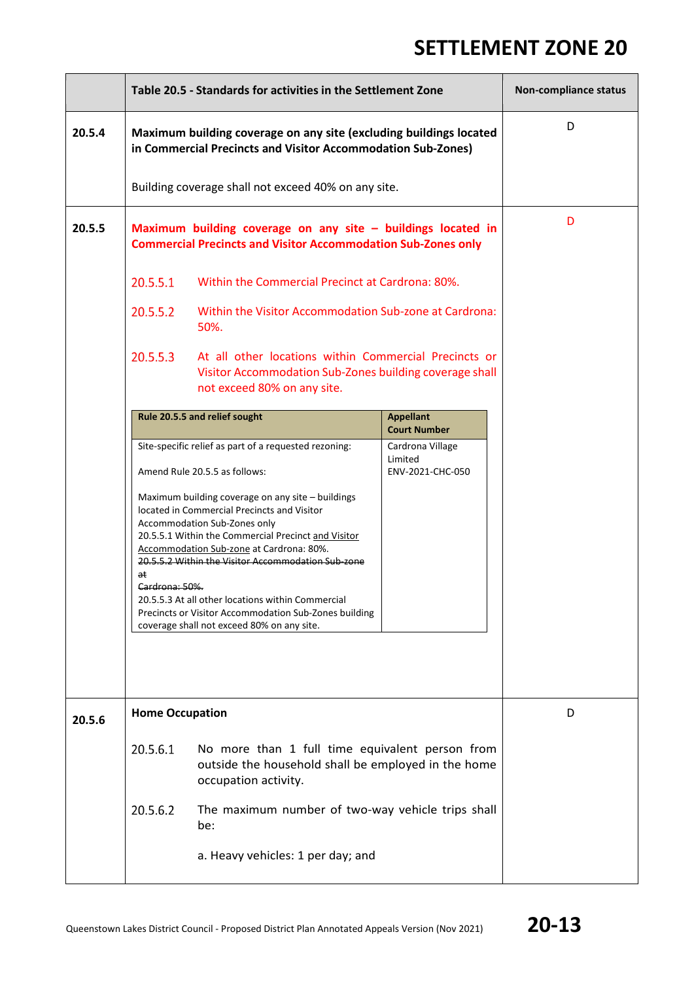÷.

|        | Table 20.5 - Standards for activities in the Settlement Zone                                                                       |                                                                                                                                                                                                                                                                                                                                                                                                                                                       |                                                 | <b>Non-compliance status</b> |
|--------|------------------------------------------------------------------------------------------------------------------------------------|-------------------------------------------------------------------------------------------------------------------------------------------------------------------------------------------------------------------------------------------------------------------------------------------------------------------------------------------------------------------------------------------------------------------------------------------------------|-------------------------------------------------|------------------------------|
| 20.5.4 | Maximum building coverage on any site (excluding buildings located<br>in Commercial Precincts and Visitor Accommodation Sub-Zones) | D                                                                                                                                                                                                                                                                                                                                                                                                                                                     |                                                 |                              |
|        |                                                                                                                                    | Building coverage shall not exceed 40% on any site.                                                                                                                                                                                                                                                                                                                                                                                                   |                                                 |                              |
| 20.5.5 |                                                                                                                                    | Maximum building coverage on any site $-$ buildings located in<br><b>Commercial Precincts and Visitor Accommodation Sub-Zones only</b>                                                                                                                                                                                                                                                                                                                |                                                 | D                            |
|        | 20.5.5.1                                                                                                                           | Within the Commercial Precinct at Cardrona: 80%.                                                                                                                                                                                                                                                                                                                                                                                                      |                                                 |                              |
|        | 20.5.5.2                                                                                                                           | Within the Visitor Accommodation Sub-zone at Cardrona:<br>50%.                                                                                                                                                                                                                                                                                                                                                                                        |                                                 |                              |
|        | 20.5.5.3                                                                                                                           |                                                                                                                                                                                                                                                                                                                                                                                                                                                       |                                                 |                              |
|        |                                                                                                                                    | Rule 20.5.5 and relief sought                                                                                                                                                                                                                                                                                                                                                                                                                         | <b>Appellant</b><br><b>Court Number</b>         |                              |
|        |                                                                                                                                    | Site-specific relief as part of a requested rezoning:<br>Amend Rule 20.5.5 as follows:                                                                                                                                                                                                                                                                                                                                                                | Cardrona Village<br>Limited<br>ENV-2021-CHC-050 |                              |
|        | at<br>Cardrona: 50%.                                                                                                               | Maximum building coverage on any site - buildings<br>located in Commercial Precincts and Visitor<br>Accommodation Sub-Zones only<br>20.5.5.1 Within the Commercial Precinct and Visitor<br>Accommodation Sub-zone at Cardrona: 80%.<br>20.5.5.2 Within the Visitor Accommodation Sub-zone<br>20.5.5.3 At all other locations within Commercial<br>Precincts or Visitor Accommodation Sub-Zones building<br>coverage shall not exceed 80% on any site. |                                                 |                              |
| 20.5.6 | <b>Home Occupation</b>                                                                                                             |                                                                                                                                                                                                                                                                                                                                                                                                                                                       |                                                 | D                            |
|        | 20.5.6.1                                                                                                                           |                                                                                                                                                                                                                                                                                                                                                                                                                                                       |                                                 |                              |
|        | 20.5.6.2                                                                                                                           | The maximum number of two-way vehicle trips shall<br>be:                                                                                                                                                                                                                                                                                                                                                                                              |                                                 |                              |
|        |                                                                                                                                    | a. Heavy vehicles: 1 per day; and                                                                                                                                                                                                                                                                                                                                                                                                                     |                                                 |                              |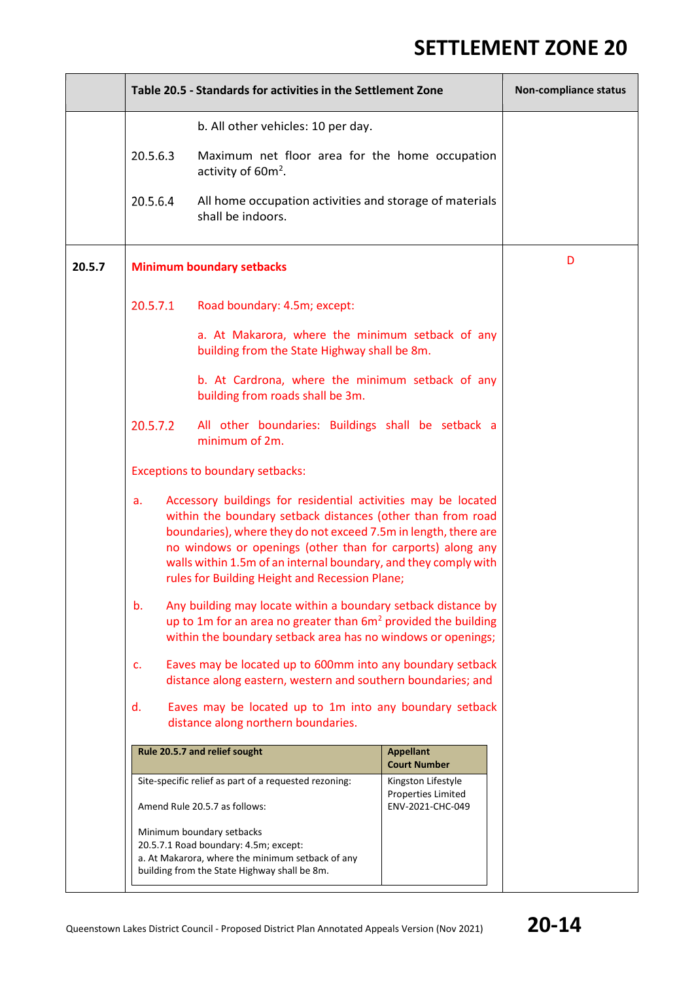|        | Table 20.5 - Standards for activities in the Settlement Zone                                         |                                                                                                                                                                                                                                                                                                                                                                                    |                                                                     | Non-compliance status |
|--------|------------------------------------------------------------------------------------------------------|------------------------------------------------------------------------------------------------------------------------------------------------------------------------------------------------------------------------------------------------------------------------------------------------------------------------------------------------------------------------------------|---------------------------------------------------------------------|-----------------------|
|        |                                                                                                      | b. All other vehicles: 10 per day.                                                                                                                                                                                                                                                                                                                                                 |                                                                     |                       |
|        | 20.5.6.3                                                                                             | Maximum net floor area for the home occupation<br>activity of 60m <sup>2</sup> .                                                                                                                                                                                                                                                                                                   |                                                                     |                       |
|        | 20.5.6.4                                                                                             | All home occupation activities and storage of materials<br>shall be indoors.                                                                                                                                                                                                                                                                                                       |                                                                     |                       |
| 20.5.7 | <b>Minimum boundary setbacks</b>                                                                     | D                                                                                                                                                                                                                                                                                                                                                                                  |                                                                     |                       |
|        | 20.5.7.1                                                                                             | Road boundary: 4.5m; except:                                                                                                                                                                                                                                                                                                                                                       |                                                                     |                       |
|        |                                                                                                      | a. At Makarora, where the minimum setback of any<br>building from the State Highway shall be 8m.                                                                                                                                                                                                                                                                                   |                                                                     |                       |
|        |                                                                                                      | b. At Cardrona, where the minimum setback of any<br>building from roads shall be 3m.                                                                                                                                                                                                                                                                                               |                                                                     |                       |
|        | 20.5.7.2                                                                                             | All other boundaries: Buildings shall be setback a<br>minimum of 2m.                                                                                                                                                                                                                                                                                                               |                                                                     |                       |
|        |                                                                                                      | <b>Exceptions to boundary setbacks:</b>                                                                                                                                                                                                                                                                                                                                            |                                                                     |                       |
|        | a.                                                                                                   | Accessory buildings for residential activities may be located<br>within the boundary setback distances (other than from road<br>boundaries), where they do not exceed 7.5m in length, there are<br>no windows or openings (other than for carports) along any<br>walls within 1.5m of an internal boundary, and they comply with<br>rules for Building Height and Recession Plane; |                                                                     |                       |
|        | b.                                                                                                   | Any building may locate within a boundary setback distance by<br>up to 1m for an area no greater than $6m2$ provided the building<br>within the boundary setback area has no windows or openings;                                                                                                                                                                                  |                                                                     |                       |
|        | c.                                                                                                   | Eaves may be located up to 600mm into any boundary setback<br>distance along eastern, western and southern boundaries; and                                                                                                                                                                                                                                                         |                                                                     |                       |
|        | Eaves may be located up to 1m into any boundary setback<br>d.<br>distance along northern boundaries. |                                                                                                                                                                                                                                                                                                                                                                                    |                                                                     |                       |
|        | Rule 20.5.7 and relief sought<br><b>Appellant</b><br><b>Court Number</b>                             |                                                                                                                                                                                                                                                                                                                                                                                    |                                                                     |                       |
|        |                                                                                                      | Site-specific relief as part of a requested rezoning:<br>Amend Rule 20.5.7 as follows:                                                                                                                                                                                                                                                                                             | Kingston Lifestyle<br><b>Properties Limited</b><br>ENV-2021-CHC-049 |                       |
|        |                                                                                                      | Minimum boundary setbacks<br>20.5.7.1 Road boundary: 4.5m; except:<br>a. At Makarora, where the minimum setback of any<br>building from the State Highway shall be 8m.                                                                                                                                                                                                             |                                                                     |                       |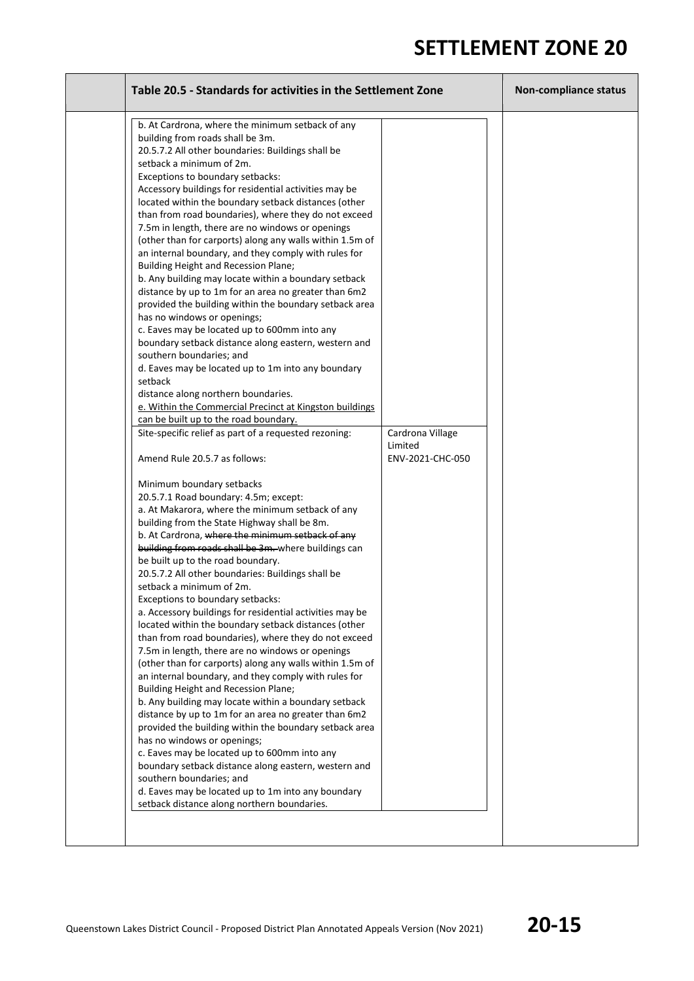| Table 20.5 - Standards for activities in the Settlement Zone                                                                                                                                                                                                                                                                                                                                                                                                                                                                                                                                                                                                                                                                                                                                                                                                                                                                                                                                                                                                                                                                                                                                                                                                                                                                                                                                                                                                                                                                                                                                                                                                                                                                                                                                                                                                                                                                                                                                                                                                                                                                                                                                                                                                                                                                                                                                                                                                                                                                                        | Non-compliance status                           |  |
|-----------------------------------------------------------------------------------------------------------------------------------------------------------------------------------------------------------------------------------------------------------------------------------------------------------------------------------------------------------------------------------------------------------------------------------------------------------------------------------------------------------------------------------------------------------------------------------------------------------------------------------------------------------------------------------------------------------------------------------------------------------------------------------------------------------------------------------------------------------------------------------------------------------------------------------------------------------------------------------------------------------------------------------------------------------------------------------------------------------------------------------------------------------------------------------------------------------------------------------------------------------------------------------------------------------------------------------------------------------------------------------------------------------------------------------------------------------------------------------------------------------------------------------------------------------------------------------------------------------------------------------------------------------------------------------------------------------------------------------------------------------------------------------------------------------------------------------------------------------------------------------------------------------------------------------------------------------------------------------------------------------------------------------------------------------------------------------------------------------------------------------------------------------------------------------------------------------------------------------------------------------------------------------------------------------------------------------------------------------------------------------------------------------------------------------------------------------------------------------------------------------------------------------------------------|-------------------------------------------------|--|
| b. At Cardrona, where the minimum setback of any<br>building from roads shall be 3m.<br>20.5.7.2 All other boundaries: Buildings shall be<br>setback a minimum of 2m.<br>Exceptions to boundary setbacks:<br>Accessory buildings for residential activities may be<br>located within the boundary setback distances (other<br>than from road boundaries), where they do not exceed<br>7.5m in length, there are no windows or openings<br>(other than for carports) along any walls within 1.5m of<br>an internal boundary, and they comply with rules for<br>Building Height and Recession Plane;<br>b. Any building may locate within a boundary setback<br>distance by up to 1m for an area no greater than 6m2<br>provided the building within the boundary setback area<br>has no windows or openings;<br>c. Eaves may be located up to 600mm into any<br>boundary setback distance along eastern, western and<br>southern boundaries; and<br>d. Eaves may be located up to 1m into any boundary<br>setback<br>distance along northern boundaries.<br>e. Within the Commercial Precinct at Kingston buildings<br>can be built up to the road boundary.<br>Site-specific relief as part of a requested rezoning:<br>Amend Rule 20.5.7 as follows:<br>Minimum boundary setbacks<br>20.5.7.1 Road boundary: 4.5m; except:<br>a. At Makarora, where the minimum setback of any<br>building from the State Highway shall be 8m.<br>b. At Cardrona, where the minimum setback of any<br>building from roads shall be 3m. where buildings can<br>be built up to the road boundary.<br>20.5.7.2 All other boundaries: Buildings shall be<br>setback a minimum of 2m.<br>Exceptions to boundary setbacks:<br>a. Accessory buildings for residential activities may be<br>located within the boundary setback distances (other<br>than from road boundaries), where they do not exceed<br>7.5m in length, there are no windows or openings<br>(other than for carports) along any walls within 1.5m of<br>an internal boundary, and they comply with rules for<br>Building Height and Recession Plane;<br>b. Any building may locate within a boundary setback<br>distance by up to 1m for an area no greater than 6m2<br>provided the building within the boundary setback area<br>has no windows or openings;<br>c. Eaves may be located up to 600mm into any<br>boundary setback distance along eastern, western and<br>southern boundaries; and<br>d. Eaves may be located up to 1m into any boundary<br>setback distance along northern boundaries. | Cardrona Village<br>Limited<br>ENV-2021-CHC-050 |  |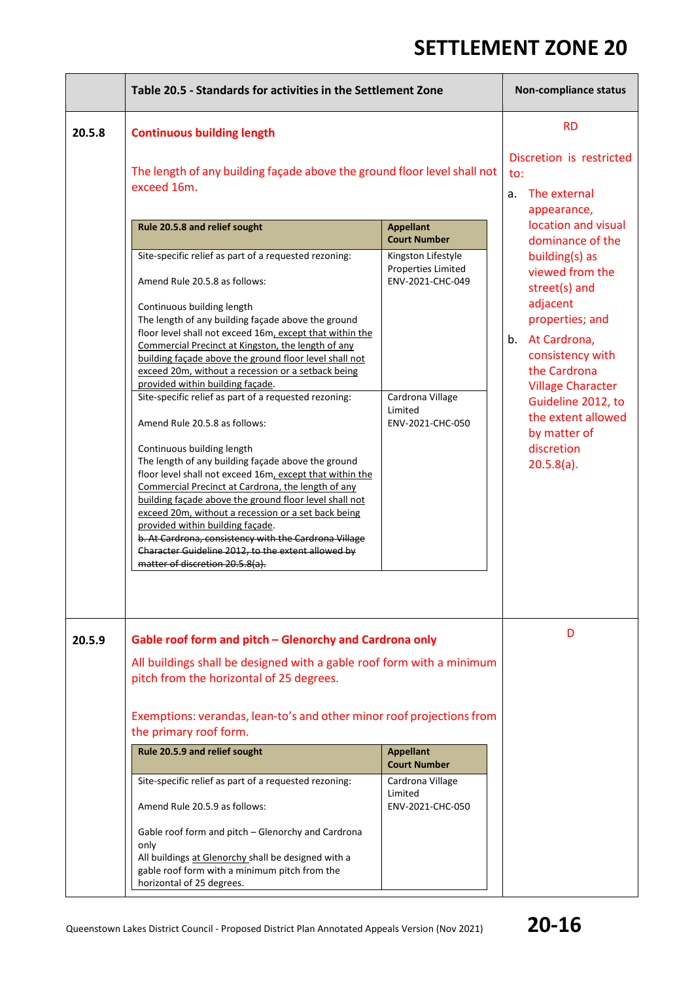÷,

|        | Table 20.5 - Standards for activities in the Settlement Zone                                                                                                                                                                                                                                                                                                                                                                                                                                                                                                                                                                                                               | <b>Non-compliance status</b>                                                                                                                                                                                                                                                                                               |                                                                   |
|--------|----------------------------------------------------------------------------------------------------------------------------------------------------------------------------------------------------------------------------------------------------------------------------------------------------------------------------------------------------------------------------------------------------------------------------------------------------------------------------------------------------------------------------------------------------------------------------------------------------------------------------------------------------------------------------|----------------------------------------------------------------------------------------------------------------------------------------------------------------------------------------------------------------------------------------------------------------------------------------------------------------------------|-------------------------------------------------------------------|
| 20.5.8 | <b>Continuous building length</b><br>The length of any building façade above the ground floor level shall not<br>exceed 16m.<br>Rule 20.5.8 and relief sought<br>Site-specific relief as part of a requested rezoning:<br>Amend Rule 20.5.8 as follows:<br>Continuous building length<br>The length of any building façade above the ground<br>floor level shall not exceed 16m, except that within the<br>Commercial Precinct at Kingston, the length of any<br>building façade above the ground floor level shall not<br>exceed 20m, without a recession or a setback being<br>provided within building façade.<br>Site-specific relief as part of a requested rezoning: | <b>RD</b><br>Discretion is restricted<br>to:<br>The external<br>a.<br>appearance,<br>location and visual<br>dominance of the<br>building(s) as<br>viewed from the<br>street(s) and<br>adjacent<br>properties; and<br>b. At Cardrona,<br>consistency with<br>the Cardrona<br><b>Village Character</b><br>Guideline 2012, to |                                                                   |
|        | Amend Rule 20.5.8 as follows:<br>Continuous building length<br>The length of any building façade above the ground<br>floor level shall not exceed 16m, except that within the<br>Commercial Precinct at Cardrona, the length of any<br>building façade above the ground floor level shall not<br>exceed 20m, without a recession or a set back being<br>provided within building facade.<br>b. At Cardrona, consistency with the Cardrona Village<br>Character Guideline 2012, to the extent allowed by<br>matter of discretion 20.5.8(a).                                                                                                                                 | Limited<br>ENV-2021-CHC-050                                                                                                                                                                                                                                                                                                | the extent allowed<br>by matter of<br>discretion<br>$20.5.8(a)$ . |
| 20.5.9 | Gable roof form and pitch - Glenorchy and Cardrona only<br>All buildings shall be designed with a gable roof form with a minimum<br>pitch from the horizontal of 25 degrees.<br>Exemptions: verandas, lean-to's and other minor roof projections from<br>the primary roof form.<br>Rule 20.5.9 and relief sought<br>Site-specific relief as part of a requested rezoning:<br>Amend Rule 20.5.9 as follows:<br>Gable roof form and pitch - Glenorchy and Cardrona<br>only<br>All buildings at Glenorchy shall be designed with a<br>gable roof form with a minimum pitch from the<br>horizontal of 25 degrees.                                                              | <b>Appellant</b><br><b>Court Number</b><br>Cardrona Village<br>Limited<br>ENV-2021-CHC-050                                                                                                                                                                                                                                 | D                                                                 |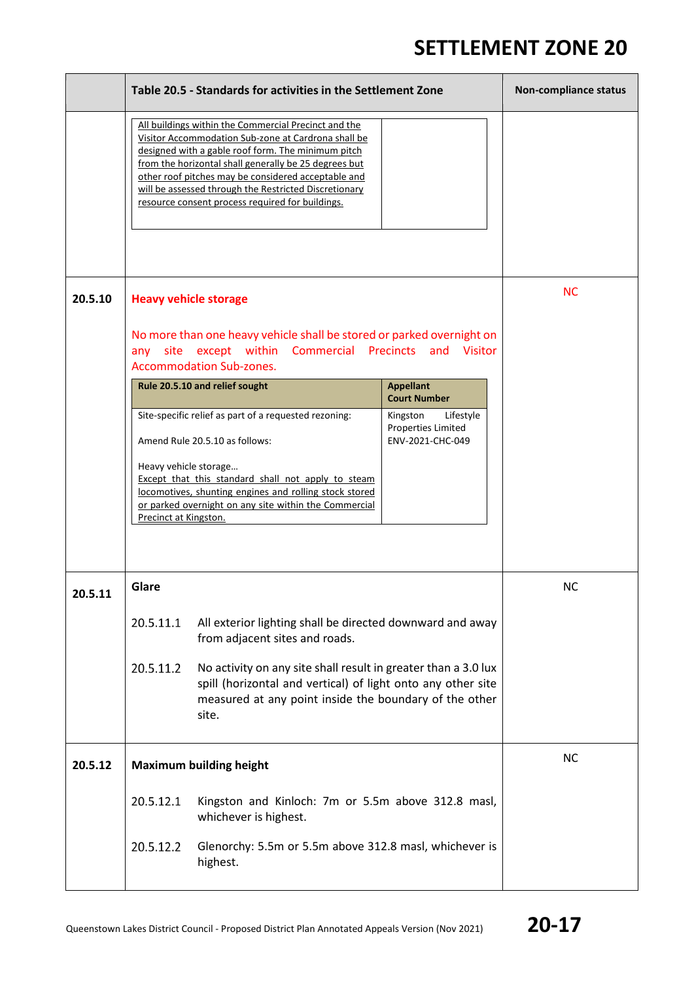5

|         | Table 20.5 - Standards for activities in the Settlement Zone                                                                                                                                                                                                                                                                                                                                   | Non-compliance status                                                  |           |
|---------|------------------------------------------------------------------------------------------------------------------------------------------------------------------------------------------------------------------------------------------------------------------------------------------------------------------------------------------------------------------------------------------------|------------------------------------------------------------------------|-----------|
|         | All buildings within the Commercial Precinct and the<br>Visitor Accommodation Sub-zone at Cardrona shall be<br>designed with a gable roof form. The minimum pitch<br>from the horizontal shall generally be 25 degrees but<br>other roof pitches may be considered acceptable and<br>will be assessed through the Restricted Discretionary<br>resource consent process required for buildings. |                                                                        |           |
| 20.5.10 | <b>Heavy vehicle storage</b><br>No more than one heavy vehicle shall be stored or parked overnight on                                                                                                                                                                                                                                                                                          |                                                                        | <b>NC</b> |
|         | any site except within Commercial Precincts and Visitor<br><b>Accommodation Sub-zones.</b>                                                                                                                                                                                                                                                                                                     |                                                                        |           |
|         | Rule 20.5.10 and relief sought                                                                                                                                                                                                                                                                                                                                                                 | <b>Appellant</b><br><b>Court Number</b>                                |           |
|         | Site-specific relief as part of a requested rezoning:<br>Amend Rule 20.5.10 as follows:<br>Heavy vehicle storage<br>Except that this standard shall not apply to steam<br>locomotives, shunting engines and rolling stock stored<br>or parked overnight on any site within the Commercial<br>Precinct at Kingston.                                                                             | Kingston<br>Lifestyle<br><b>Properties Limited</b><br>ENV-2021-CHC-049 |           |
| 20.5.11 | Glare                                                                                                                                                                                                                                                                                                                                                                                          |                                                                        | <b>NC</b> |
|         | 20.5.11.1<br>All exterior lighting shall be directed downward and away<br>from adjacent sites and roads.                                                                                                                                                                                                                                                                                       |                                                                        |           |
|         | 20.5.11.2<br>No activity on any site shall result in greater than a 3.0 lux<br>spill (horizontal and vertical) of light onto any other site<br>measured at any point inside the boundary of the other<br>site.                                                                                                                                                                                 |                                                                        |           |
| 20.5.12 | <b>Maximum building height</b>                                                                                                                                                                                                                                                                                                                                                                 |                                                                        | <b>NC</b> |
|         | 20.5.12.1<br>Kingston and Kinloch: 7m or 5.5m above 312.8 masl,<br>whichever is highest.                                                                                                                                                                                                                                                                                                       |                                                                        |           |
|         | 20.5.12.2<br>Glenorchy: 5.5m or 5.5m above 312.8 masl, whichever is<br>highest.                                                                                                                                                                                                                                                                                                                |                                                                        |           |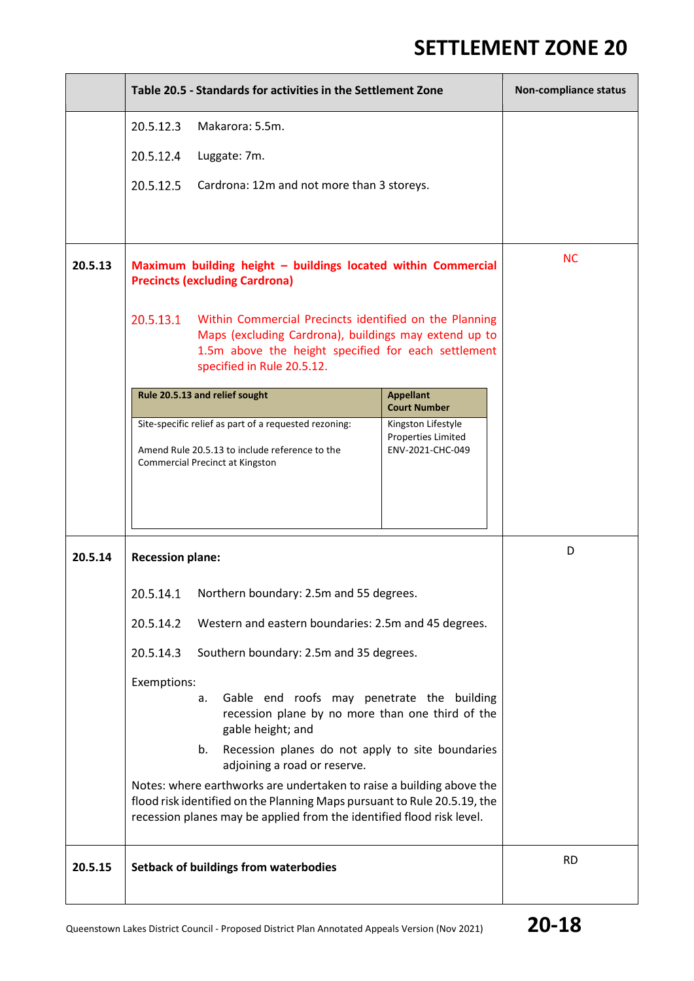|         | Table 20.5 - Standards for activities in the Settlement Zone                                                                                                                                                              |                                                                                                                                                                                                      |                                                                     | Non-compliance status |
|---------|---------------------------------------------------------------------------------------------------------------------------------------------------------------------------------------------------------------------------|------------------------------------------------------------------------------------------------------------------------------------------------------------------------------------------------------|---------------------------------------------------------------------|-----------------------|
|         | 20.5.12.3<br>Makarora: 5.5m.                                                                                                                                                                                              |                                                                                                                                                                                                      |                                                                     |                       |
|         | 20.5.12.4                                                                                                                                                                                                                 | Luggate: 7m.                                                                                                                                                                                         |                                                                     |                       |
|         | 20.5.12.5                                                                                                                                                                                                                 | Cardrona: 12m and not more than 3 storeys.                                                                                                                                                           |                                                                     |                       |
|         |                                                                                                                                                                                                                           |                                                                                                                                                                                                      |                                                                     |                       |
| 20.5.13 | Maximum building height - buildings located within Commercial<br><b>Precincts (excluding Cardrona)</b>                                                                                                                    |                                                                                                                                                                                                      |                                                                     | <b>NC</b>             |
|         | 20.5.13.1                                                                                                                                                                                                                 | Within Commercial Precincts identified on the Planning<br>Maps (excluding Cardrona), buildings may extend up to<br>1.5m above the height specified for each settlement<br>specified in Rule 20.5.12. |                                                                     |                       |
|         |                                                                                                                                                                                                                           | Rule 20.5.13 and relief sought                                                                                                                                                                       | <b>Appellant</b><br><b>Court Number</b>                             |                       |
|         |                                                                                                                                                                                                                           | Site-specific relief as part of a requested rezoning:<br>Amend Rule 20.5.13 to include reference to the<br><b>Commercial Precinct at Kingston</b>                                                    | Kingston Lifestyle<br><b>Properties Limited</b><br>ENV-2021-CHC-049 |                       |
| 20.5.14 | <b>Recession plane:</b>                                                                                                                                                                                                   |                                                                                                                                                                                                      |                                                                     | D                     |
|         | 20.5.14.1                                                                                                                                                                                                                 | Northern boundary: 2.5m and 55 degrees.                                                                                                                                                              |                                                                     |                       |
|         | 20.5.14.2                                                                                                                                                                                                                 | Western and eastern boundaries: 2.5m and 45 degrees.                                                                                                                                                 |                                                                     |                       |
|         | 20.5.14.3                                                                                                                                                                                                                 | Southern boundary: 2.5m and 35 degrees.                                                                                                                                                              |                                                                     |                       |
|         | Exemptions:<br>Gable end roofs may penetrate the building<br>a.<br>recession plane by no more than one third of the<br>gable height; and                                                                                  |                                                                                                                                                                                                      |                                                                     |                       |
|         | Recession planes do not apply to site boundaries<br>b.<br>adjoining a road or reserve.                                                                                                                                    |                                                                                                                                                                                                      |                                                                     |                       |
|         | Notes: where earthworks are undertaken to raise a building above the<br>flood risk identified on the Planning Maps pursuant to Rule 20.5.19, the<br>recession planes may be applied from the identified flood risk level. |                                                                                                                                                                                                      |                                                                     |                       |
| 20.5.15 |                                                                                                                                                                                                                           | Setback of buildings from waterbodies                                                                                                                                                                |                                                                     | <b>RD</b>             |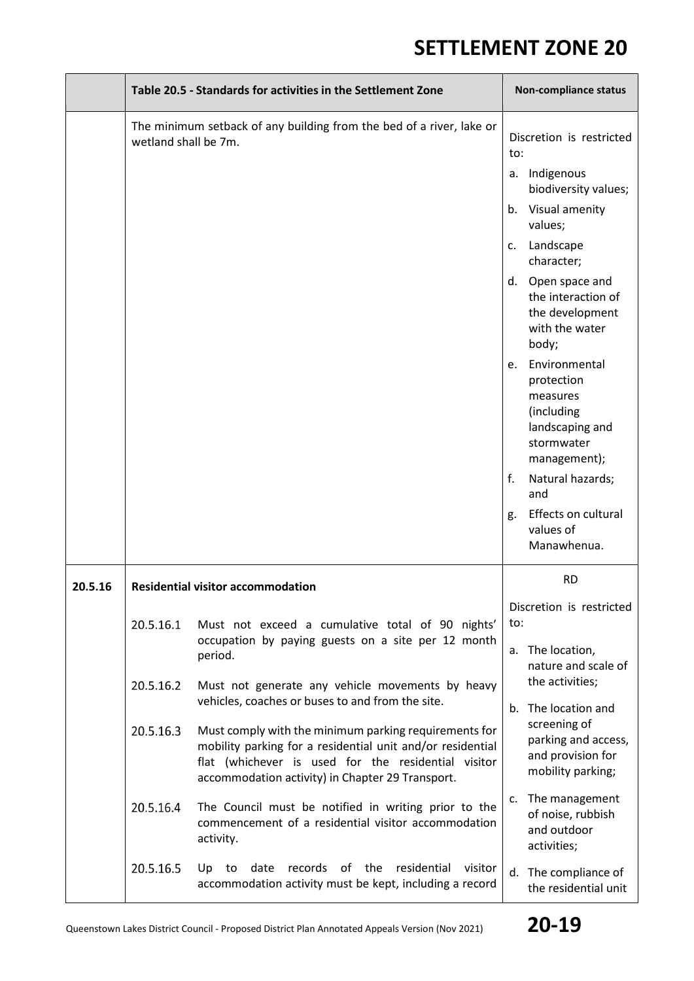|         |                                                                                                                   | Table 20.5 - Standards for activities in the Settlement Zone                                                                                                                                                                   | Non-compliance status               |                                                                                                        |  |
|---------|-------------------------------------------------------------------------------------------------------------------|--------------------------------------------------------------------------------------------------------------------------------------------------------------------------------------------------------------------------------|-------------------------------------|--------------------------------------------------------------------------------------------------------|--|
|         | wetland shall be 7m.                                                                                              | The minimum setback of any building from the bed of a river, lake or                                                                                                                                                           | to:                                 | Discretion is restricted                                                                               |  |
|         |                                                                                                                   |                                                                                                                                                                                                                                |                                     | a. Indigenous<br>biodiversity values;                                                                  |  |
|         |                                                                                                                   |                                                                                                                                                                                                                                | b.                                  | Visual amenity<br>values;                                                                              |  |
|         |                                                                                                                   |                                                                                                                                                                                                                                | c.                                  | Landscape<br>character;                                                                                |  |
|         |                                                                                                                   |                                                                                                                                                                                                                                |                                     | d. Open space and<br>the interaction of<br>the development<br>with the water<br>body;                  |  |
|         |                                                                                                                   |                                                                                                                                                                                                                                | e.                                  | Environmental<br>protection<br>measures<br>(including<br>landscaping and<br>stormwater<br>management); |  |
|         |                                                                                                                   |                                                                                                                                                                                                                                | f.                                  | Natural hazards;<br>and                                                                                |  |
|         |                                                                                                                   |                                                                                                                                                                                                                                | g.                                  | Effects on cultural<br>values of<br>Manawhenua.                                                        |  |
| 20.5.16 |                                                                                                                   | <b>Residential visitor accommodation</b>                                                                                                                                                                                       |                                     | <b>RD</b>                                                                                              |  |
|         | 20.5.16.1                                                                                                         | Must not exceed a cumulative total of 90 nights'                                                                                                                                                                               | to:                                 | Discretion is restricted                                                                               |  |
|         |                                                                                                                   | occupation by paying guests on a site per 12 month<br>period.                                                                                                                                                                  |                                     | a. The location,<br>nature and scale of                                                                |  |
|         | 20.5.16.2<br>Must not generate any vehicle movements by heavy<br>vehicles, coaches or buses to and from the site. |                                                                                                                                                                                                                                | the activities;<br>The location and |                                                                                                        |  |
|         | 20.5.16.3                                                                                                         | Must comply with the minimum parking requirements for<br>mobility parking for a residential unit and/or residential<br>flat (whichever is used for the residential visitor<br>accommodation activity) in Chapter 29 Transport. | $b_{1}$                             | screening of<br>parking and access,<br>and provision for<br>mobility parking;                          |  |
|         | 20.5.16.4<br>activity.                                                                                            | The Council must be notified in writing prior to the<br>commencement of a residential visitor accommodation                                                                                                                    | c.                                  | The management<br>of noise, rubbish<br>and outdoor<br>activities;                                      |  |
|         | 20.5.16.5                                                                                                         | date<br>records of the<br>residential<br>to<br>visitor<br>Up<br>accommodation activity must be kept, including a record                                                                                                        | d.                                  | The compliance of<br>the residential unit                                                              |  |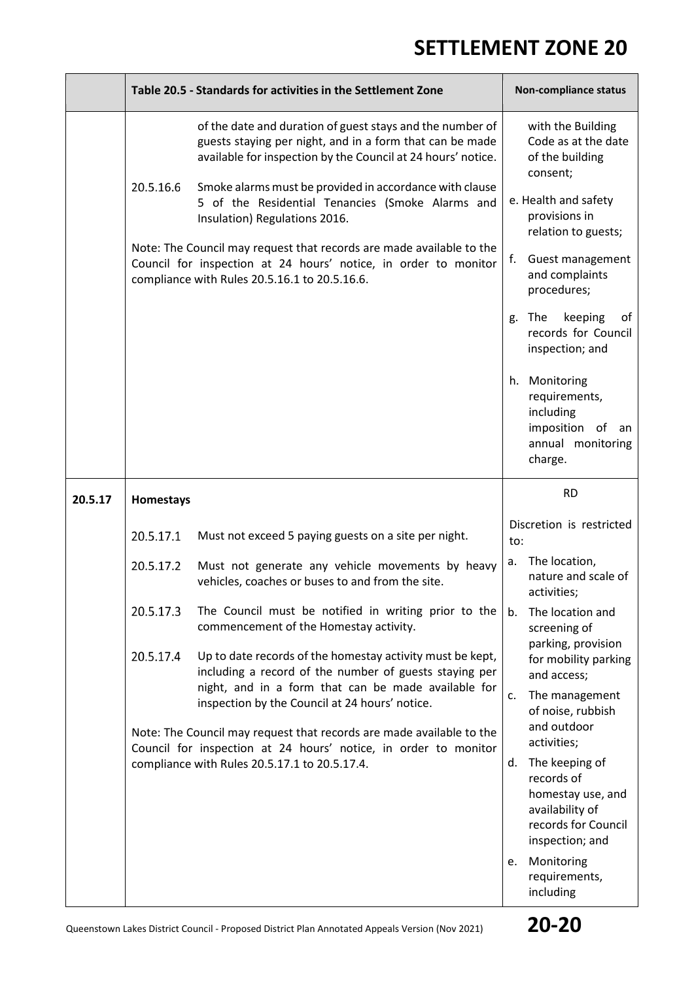$\overline{\phantom{0}}$ 

|         | Table 20.5 - Standards for activities in the Settlement Zone                                                                                                                                                                                     |                                                                                                                                                                                          |                                                                   | Non-compliance status                                                                                          |  |
|---------|--------------------------------------------------------------------------------------------------------------------------------------------------------------------------------------------------------------------------------------------------|------------------------------------------------------------------------------------------------------------------------------------------------------------------------------------------|-------------------------------------------------------------------|----------------------------------------------------------------------------------------------------------------|--|
|         | of the date and duration of guest stays and the number of<br>guests staying per night, and in a form that can be made<br>available for inspection by the Council at 24 hours' notice.                                                            |                                                                                                                                                                                          |                                                                   | with the Building<br>Code as at the date<br>of the building<br>consent;                                        |  |
|         | 20.5.16.6                                                                                                                                                                                                                                        | Smoke alarms must be provided in accordance with clause<br>5 of the Residential Tenancies (Smoke Alarms and<br>Insulation) Regulations 2016.                                             |                                                                   | e. Health and safety<br>provisions in<br>relation to guests;                                                   |  |
|         |                                                                                                                                                                                                                                                  | Note: The Council may request that records are made available to the<br>Council for inspection at 24 hours' notice, in order to monitor<br>compliance with Rules 20.5.16.1 to 20.5.16.6. | f.                                                                | Guest management<br>and complaints<br>procedures;                                                              |  |
|         |                                                                                                                                                                                                                                                  |                                                                                                                                                                                          | g.                                                                | keeping<br>The<br>οf<br>records for Council<br>inspection; and                                                 |  |
|         |                                                                                                                                                                                                                                                  |                                                                                                                                                                                          |                                                                   | h. Monitoring<br>requirements,<br>including<br>imposition of<br>an<br>annual monitoring<br>charge.             |  |
| 20.5.17 | Homestays                                                                                                                                                                                                                                        |                                                                                                                                                                                          |                                                                   | <b>RD</b>                                                                                                      |  |
|         | 20.5.17.1                                                                                                                                                                                                                                        | Must not exceed 5 paying guests on a site per night.                                                                                                                                     | to:                                                               | Discretion is restricted                                                                                       |  |
|         | 20.5.17.2                                                                                                                                                                                                                                        | Must not generate any vehicle movements by heavy<br>vehicles, coaches or buses to and from the site.                                                                                     | a.                                                                | The location,<br>nature and scale of<br>activities;                                                            |  |
|         | 20.5.17.3                                                                                                                                                                                                                                        | The Council must be notified in writing prior to the<br>commencement of the Homestay activity.                                                                                           | b.                                                                | The location and<br>screening of                                                                               |  |
|         | 20.5.17.4                                                                                                                                                                                                                                        | Up to date records of the homestay activity must be kept,<br>including a record of the number of guests staying per                                                                      |                                                                   | parking, provision<br>for mobility parking<br>and access;                                                      |  |
|         | night, and in a form that can be made available for<br>inspection by the Council at 24 hours' notice.<br>Note: The Council may request that records are made available to the<br>Council for inspection at 24 hours' notice, in order to monitor | c.                                                                                                                                                                                       | The management<br>of noise, rubbish<br>and outdoor<br>activities; |                                                                                                                |  |
|         |                                                                                                                                                                                                                                                  | compliance with Rules 20.5.17.1 to 20.5.17.4.                                                                                                                                            | d.                                                                | The keeping of<br>records of<br>homestay use, and<br>availability of<br>records for Council<br>inspection; and |  |
|         |                                                                                                                                                                                                                                                  |                                                                                                                                                                                          | e.                                                                | Monitoring<br>requirements,<br>including                                                                       |  |

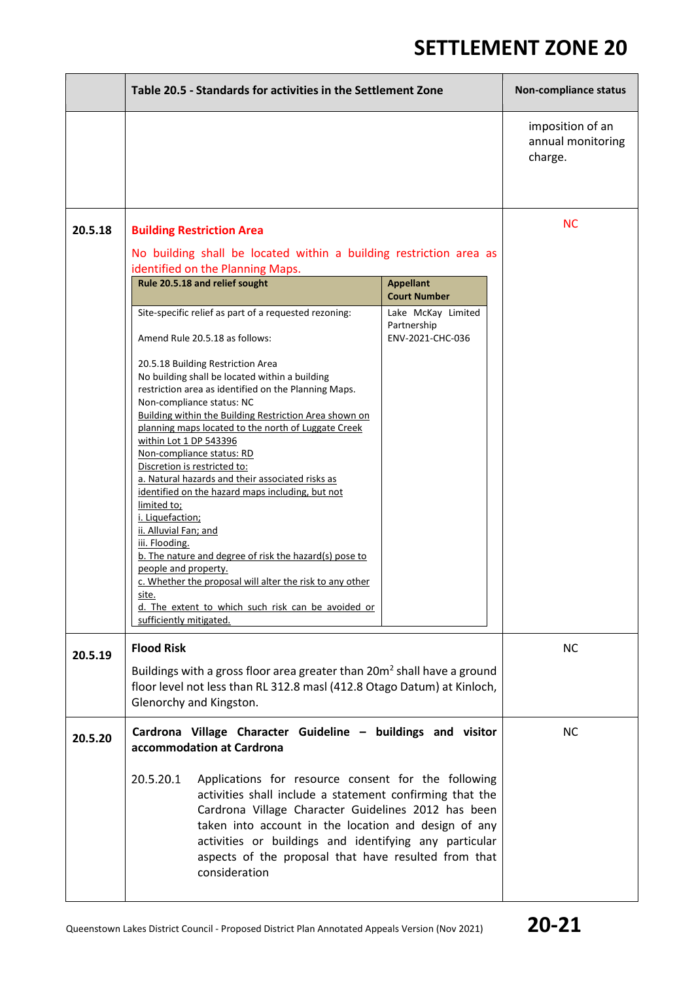|         | Table 20.5 - Standards for activities in the Settlement Zone                                                                                                                                                                                                                                                                                                                                                                                                                                                                                                                                                                                                                                                                                                                                                                                                                                                                                                                                                                                                                                                                                                       | Non-compliance status                            |
|---------|--------------------------------------------------------------------------------------------------------------------------------------------------------------------------------------------------------------------------------------------------------------------------------------------------------------------------------------------------------------------------------------------------------------------------------------------------------------------------------------------------------------------------------------------------------------------------------------------------------------------------------------------------------------------------------------------------------------------------------------------------------------------------------------------------------------------------------------------------------------------------------------------------------------------------------------------------------------------------------------------------------------------------------------------------------------------------------------------------------------------------------------------------------------------|--------------------------------------------------|
|         |                                                                                                                                                                                                                                                                                                                                                                                                                                                                                                                                                                                                                                                                                                                                                                                                                                                                                                                                                                                                                                                                                                                                                                    | imposition of an<br>annual monitoring<br>charge. |
| 20.5.18 | <b>Building Restriction Area</b><br>No building shall be located within a building restriction area as<br>identified on the Planning Maps.<br>Rule 20.5.18 and relief sought<br><b>Appellant</b><br><b>Court Number</b><br>Site-specific relief as part of a requested rezoning:<br>Lake McKay Limited<br>Partnership<br>Amend Rule 20.5.18 as follows:<br>ENV-2021-CHC-036<br>20.5.18 Building Restriction Area<br>No building shall be located within a building<br>restriction area as identified on the Planning Maps.<br>Non-compliance status: NC<br>Building within the Building Restriction Area shown on<br>planning maps located to the north of Luggate Creek<br>within Lot 1 DP 543396<br>Non-compliance status: RD<br>Discretion is restricted to:<br>a. Natural hazards and their associated risks as<br>identified on the hazard maps including, but not<br>limited to;<br>i. Liquefaction;<br>ii. Alluvial Fan; and<br>iii. Flooding.<br>b. The nature and degree of risk the hazard(s) pose to<br>people and property.<br>c. Whether the proposal will alter the risk to any other<br>site.<br>d. The extent to which such risk can be avoided or | <b>NC</b>                                        |
|         | sufficiently mitigated.                                                                                                                                                                                                                                                                                                                                                                                                                                                                                                                                                                                                                                                                                                                                                                                                                                                                                                                                                                                                                                                                                                                                            |                                                  |
| 20.5.19 | <b>Flood Risk</b><br>Buildings with a gross floor area greater than 20m <sup>2</sup> shall have a ground<br>floor level not less than RL 312.8 masl (412.8 Otago Datum) at Kinloch,<br>Glenorchy and Kingston.                                                                                                                                                                                                                                                                                                                                                                                                                                                                                                                                                                                                                                                                                                                                                                                                                                                                                                                                                     | NC.                                              |
| 20.5.20 | Cardrona Village Character Guideline - buildings and visitor<br>accommodation at Cardrona                                                                                                                                                                                                                                                                                                                                                                                                                                                                                                                                                                                                                                                                                                                                                                                                                                                                                                                                                                                                                                                                          | <b>NC</b>                                        |
|         | 20.5.20.1<br>Applications for resource consent for the following<br>activities shall include a statement confirming that the<br>Cardrona Village Character Guidelines 2012 has been<br>taken into account in the location and design of any<br>activities or buildings and identifying any particular<br>aspects of the proposal that have resulted from that<br>consideration                                                                                                                                                                                                                                                                                                                                                                                                                                                                                                                                                                                                                                                                                                                                                                                     |                                                  |